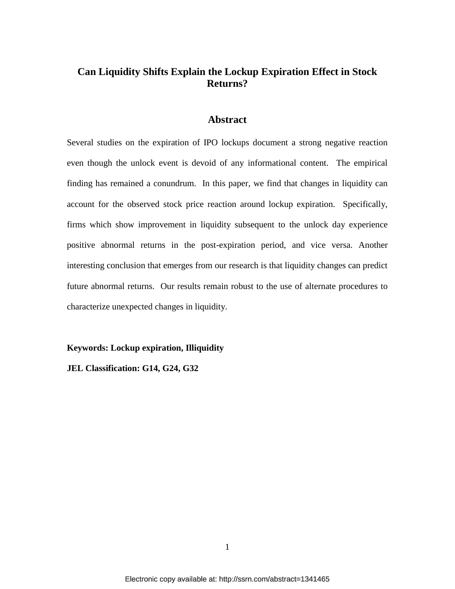# **Can Liquidity Shifts Explain the Lockup Expiration Effect in Stock Returns?**

# **Abstract**

Several studies on the expiration of IPO lockups document a strong negative reaction even though the unlock event is devoid of any informational content. The empirical finding has remained a conundrum. In this paper, we find that changes in liquidity can account for the observed stock price reaction around lockup expiration. Specifically, firms which show improvement in liquidity subsequent to the unlock day experience positive abnormal returns in the post-expiration period, and vice versa. Another interesting conclusion that emerges from our research is that liquidity changes can predict future abnormal returns. Our results remain robust to the use of alternate procedures to characterize unexpected changes in liquidity.

# **Keywords: Lockup expiration, Illiquidity**

**JEL Classification: G14, G24, G32**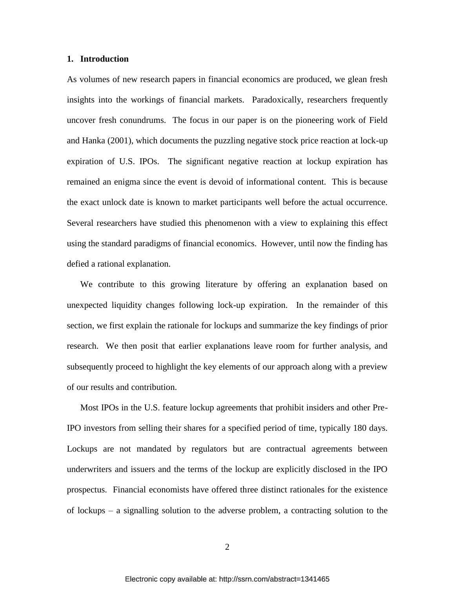#### **1. Introduction**

As volumes of new research papers in financial economics are produced, we glean fresh insights into the workings of financial markets. Paradoxically, researchers frequently uncover fresh conundrums. The focus in our paper is on the pioneering work of Field and Hanka (2001), which documents the puzzling negative stock price reaction at lock-up expiration of U.S. IPOs. The significant negative reaction at lockup expiration has remained an enigma since the event is devoid of informational content. This is because the exact unlock date is known to market participants well before the actual occurrence. Several researchers have studied this phenomenon with a view to explaining this effect using the standard paradigms of financial economics. However, until now the finding has defied a rational explanation.

We contribute to this growing literature by offering an explanation based on unexpected liquidity changes following lock-up expiration. In the remainder of this section, we first explain the rationale for lockups and summarize the key findings of prior research. We then posit that earlier explanations leave room for further analysis, and subsequently proceed to highlight the key elements of our approach along with a preview of our results and contribution.

Most IPOs in the U.S. feature lockup agreements that prohibit insiders and other Pre-IPO investors from selling their shares for a specified period of time, typically 180 days. Lockups are not mandated by regulators but are contractual agreements between underwriters and issuers and the terms of the lockup are explicitly disclosed in the IPO prospectus. Financial economists have offered three distinct rationales for the existence of lockups – a signalling solution to the adverse problem, a contracting solution to the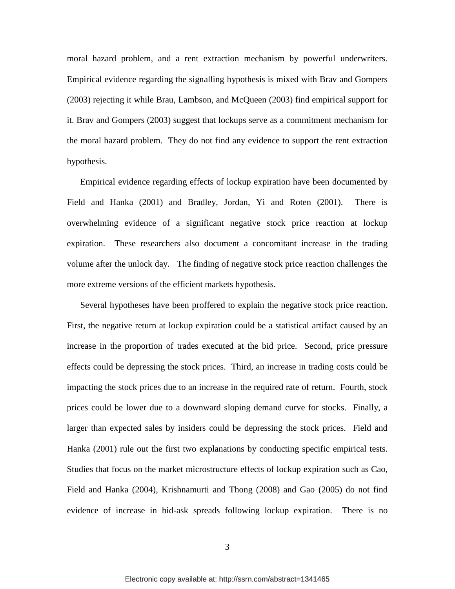moral hazard problem, and a rent extraction mechanism by powerful underwriters. Empirical evidence regarding the signalling hypothesis is mixed with Brav and Gompers (2003) rejecting it while Brau, Lambson, and McQueen (2003) find empirical support for it. Brav and Gompers (2003) suggest that lockups serve as a commitment mechanism for the moral hazard problem. They do not find any evidence to support the rent extraction hypothesis.

Empirical evidence regarding effects of lockup expiration have been documented by Field and Hanka (2001) and Bradley, Jordan, Yi and Roten (2001). There is overwhelming evidence of a significant negative stock price reaction at lockup expiration. These researchers also document a concomitant increase in the trading volume after the unlock day. The finding of negative stock price reaction challenges the more extreme versions of the efficient markets hypothesis.

Several hypotheses have been proffered to explain the negative stock price reaction. First, the negative return at lockup expiration could be a statistical artifact caused by an increase in the proportion of trades executed at the bid price. Second, price pressure effects could be depressing the stock prices. Third, an increase in trading costs could be impacting the stock prices due to an increase in the required rate of return. Fourth, stock prices could be lower due to a downward sloping demand curve for stocks. Finally, a larger than expected sales by insiders could be depressing the stock prices. Field and Hanka (2001) rule out the first two explanations by conducting specific empirical tests. Studies that focus on the market microstructure effects of lockup expiration such as Cao, Field and Hanka (2004), Krishnamurti and Thong (2008) and Gao (2005) do not find evidence of increase in bid-ask spreads following lockup expiration. There is no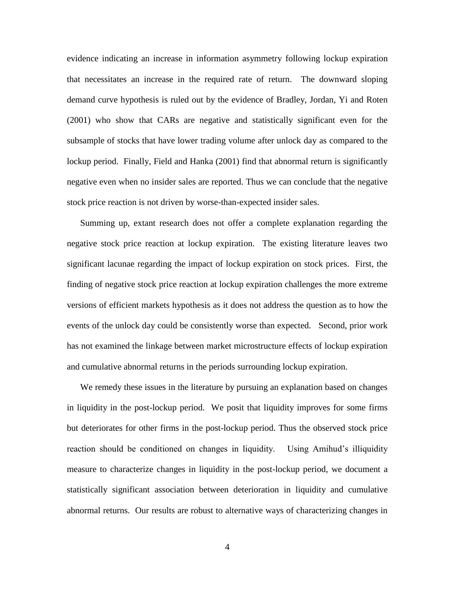evidence indicating an increase in information asymmetry following lockup expiration that necessitates an increase in the required rate of return. The downward sloping demand curve hypothesis is ruled out by the evidence of Bradley, Jordan, Yi and Roten (2001) who show that CARs are negative and statistically significant even for the subsample of stocks that have lower trading volume after unlock day as compared to the lockup period. Finally, Field and Hanka (2001) find that abnormal return is significantly negative even when no insider sales are reported. Thus we can conclude that the negative stock price reaction is not driven by worse-than-expected insider sales.

Summing up, extant research does not offer a complete explanation regarding the negative stock price reaction at lockup expiration. The existing literature leaves two significant lacunae regarding the impact of lockup expiration on stock prices. First, the finding of negative stock price reaction at lockup expiration challenges the more extreme versions of efficient markets hypothesis as it does not address the question as to how the events of the unlock day could be consistently worse than expected. Second, prior work has not examined the linkage between market microstructure effects of lockup expiration and cumulative abnormal returns in the periods surrounding lockup expiration.

We remedy these issues in the literature by pursuing an explanation based on changes in liquidity in the post-lockup period. We posit that liquidity improves for some firms but deteriorates for other firms in the post-lockup period. Thus the observed stock price reaction should be conditioned on changes in liquidity. Using Amihud's illiquidity measure to characterize changes in liquidity in the post-lockup period, we document a statistically significant association between deterioration in liquidity and cumulative abnormal returns. Our results are robust to alternative ways of characterizing changes in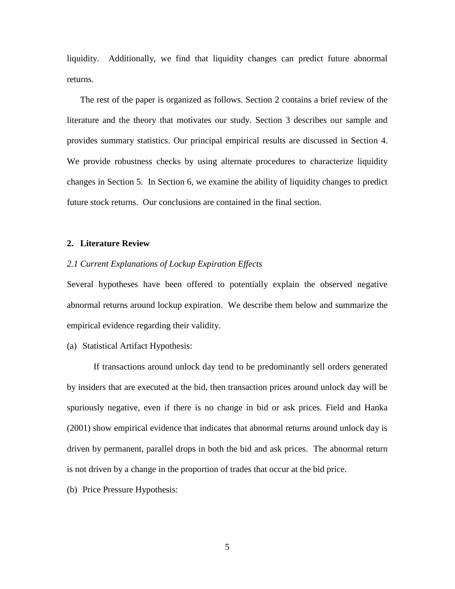liquidity. Additionally, we find that liquidity changes can predict future abnormal returns.

The rest of the paper is organized as follows. Section 2 contains a brief review of the literature and the theory that motivates our study. Section 3 describes our sample and provides summary statistics. Our principal empirical results are discussed in Section 4. We provide robustness checks by using alternate procedures to characterize liquidity changes in Section 5. In Section 6, we examine the ability of liquidity changes to predict future stock returns. Our conclusions are contained in the final section.

### **2. Literature Review**

# *2.1 Current Explanations of Lockup Expiration Effects*

Several hypotheses have been offered to potentially explain the observed negative abnormal returns around lockup expiration. We describe them below and summarize the empirical evidence regarding their validity.

(a) Statistical Artifact Hypothesis:

If transactions around unlock day tend to be predominantly sell orders generated by insiders that are executed at the bid, then transaction prices around unlock day will be spuriously negative, even if there is no change in bid or ask prices. Field and Hanka (2001) show empirical evidence that indicates that abnormal returns around unlock day is driven by permanent, parallel drops in both the bid and ask prices. The abnormal return is not driven by a change in the proportion of trades that occur at the bid price.

(b) Price Pressure Hypothesis: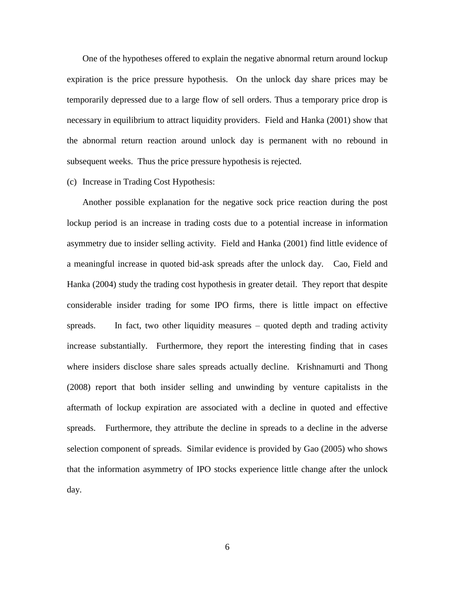One of the hypotheses offered to explain the negative abnormal return around lockup expiration is the price pressure hypothesis. On the unlock day share prices may be temporarily depressed due to a large flow of sell orders. Thus a temporary price drop is necessary in equilibrium to attract liquidity providers. Field and Hanka (2001) show that the abnormal return reaction around unlock day is permanent with no rebound in subsequent weeks. Thus the price pressure hypothesis is rejected.

(c) Increase in Trading Cost Hypothesis:

Another possible explanation for the negative sock price reaction during the post lockup period is an increase in trading costs due to a potential increase in information asymmetry due to insider selling activity. Field and Hanka (2001) find little evidence of a meaningful increase in quoted bid-ask spreads after the unlock day. Cao, Field and Hanka (2004) study the trading cost hypothesis in greater detail. They report that despite considerable insider trading for some IPO firms, there is little impact on effective spreads. In fact, two other liquidity measures – quoted depth and trading activity increase substantially. Furthermore, they report the interesting finding that in cases where insiders disclose share sales spreads actually decline. Krishnamurti and Thong (2008) report that both insider selling and unwinding by venture capitalists in the aftermath of lockup expiration are associated with a decline in quoted and effective spreads. Furthermore, they attribute the decline in spreads to a decline in the adverse selection component of spreads. Similar evidence is provided by Gao (2005) who shows that the information asymmetry of IPO stocks experience little change after the unlock day.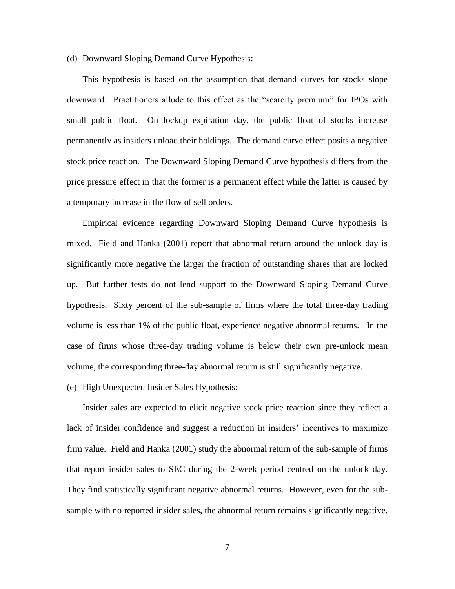#### (d) Downward Sloping Demand Curve Hypothesis:

This hypothesis is based on the assumption that demand curves for stocks slope downward. Practitioners allude to this effect as the "scarcity premium" for IPOs with small public float. On lockup expiration day, the public float of stocks increase permanently as insiders unload their holdings. The demand curve effect posits a negative stock price reaction. The Downward Sloping Demand Curve hypothesis differs from the price pressure effect in that the former is a permanent effect while the latter is caused by a temporary increase in the flow of sell orders.

Empirical evidence regarding Downward Sloping Demand Curve hypothesis is mixed. Field and Hanka (2001) report that abnormal return around the unlock day is significantly more negative the larger the fraction of outstanding shares that are locked up. But further tests do not lend support to the Downward Sloping Demand Curve hypothesis. Sixty percent of the sub-sample of firms where the total three-day trading volume is less than 1% of the public float, experience negative abnormal returns. In the case of firms whose three-day trading volume is below their own pre-unlock mean volume, the corresponding three-day abnormal return is still significantly negative.

#### (e) High Unexpected Insider Sales Hypothesis:

Insider sales are expected to elicit negative stock price reaction since they reflect a lack of insider confidence and suggest a reduction in insiders' incentives to maximize firm value. Field and Hanka (2001) study the abnormal return of the sub-sample of firms that report insider sales to SEC during the 2-week period centred on the unlock day. They find statistically significant negative abnormal returns. However, even for the subsample with no reported insider sales, the abnormal return remains significantly negative.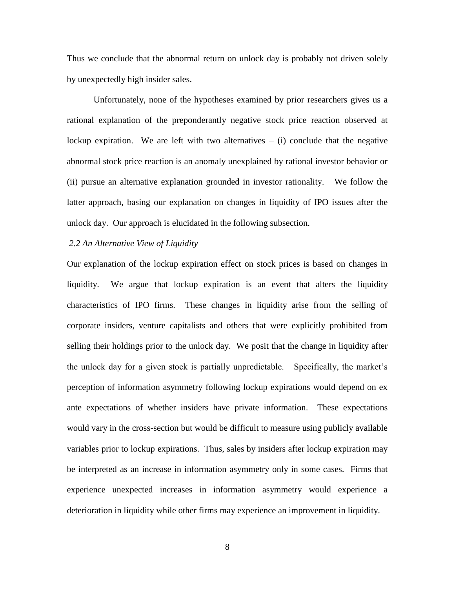Thus we conclude that the abnormal return on unlock day is probably not driven solely by unexpectedly high insider sales.

Unfortunately, none of the hypotheses examined by prior researchers gives us a rational explanation of the preponderantly negative stock price reaction observed at lockup expiration. We are left with two alternatives  $-$  (i) conclude that the negative abnormal stock price reaction is an anomaly unexplained by rational investor behavior or (ii) pursue an alternative explanation grounded in investor rationality. We follow the latter approach, basing our explanation on changes in liquidity of IPO issues after the unlock day. Our approach is elucidated in the following subsection.

### *2.2 An Alternative View of Liquidity*

Our explanation of the lockup expiration effect on stock prices is based on changes in liquidity. We argue that lockup expiration is an event that alters the liquidity characteristics of IPO firms. These changes in liquidity arise from the selling of corporate insiders, venture capitalists and others that were explicitly prohibited from selling their holdings prior to the unlock day. We posit that the change in liquidity after the unlock day for a given stock is partially unpredictable. Specifically, the market's perception of information asymmetry following lockup expirations would depend on ex ante expectations of whether insiders have private information. These expectations would vary in the cross-section but would be difficult to measure using publicly available variables prior to lockup expirations. Thus, sales by insiders after lockup expiration may be interpreted as an increase in information asymmetry only in some cases. Firms that experience unexpected increases in information asymmetry would experience a deterioration in liquidity while other firms may experience an improvement in liquidity.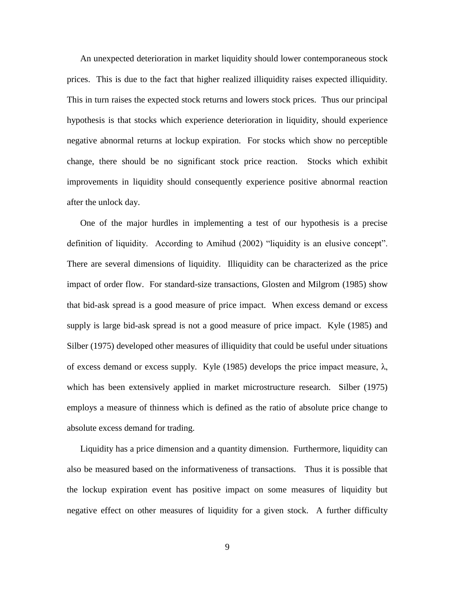An unexpected deterioration in market liquidity should lower contemporaneous stock prices. This is due to the fact that higher realized illiquidity raises expected illiquidity. This in turn raises the expected stock returns and lowers stock prices. Thus our principal hypothesis is that stocks which experience deterioration in liquidity, should experience negative abnormal returns at lockup expiration. For stocks which show no perceptible change, there should be no significant stock price reaction. Stocks which exhibit improvements in liquidity should consequently experience positive abnormal reaction after the unlock day.

One of the major hurdles in implementing a test of our hypothesis is a precise definition of liquidity. According to Amihud (2002) "liquidity is an elusive concept". There are several dimensions of liquidity. Illiquidity can be characterized as the price impact of order flow. For standard-size transactions, Glosten and Milgrom (1985) show that bid-ask spread is a good measure of price impact. When excess demand or excess supply is large bid-ask spread is not a good measure of price impact. Kyle (1985) and Silber (1975) developed other measures of illiquidity that could be useful under situations of excess demand or excess supply. Kyle (1985) develops the price impact measure, λ, which has been extensively applied in market microstructure research. Silber (1975) employs a measure of thinness which is defined as the ratio of absolute price change to absolute excess demand for trading.

Liquidity has a price dimension and a quantity dimension. Furthermore, liquidity can also be measured based on the informativeness of transactions. Thus it is possible that the lockup expiration event has positive impact on some measures of liquidity but negative effect on other measures of liquidity for a given stock. A further difficulty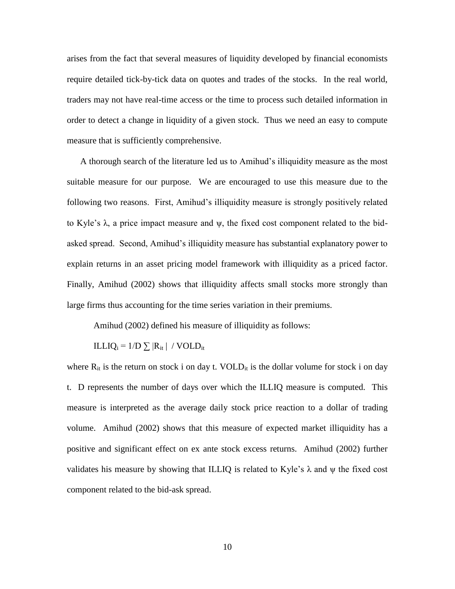arises from the fact that several measures of liquidity developed by financial economists require detailed tick-by-tick data on quotes and trades of the stocks. In the real world, traders may not have real-time access or the time to process such detailed information in order to detect a change in liquidity of a given stock. Thus we need an easy to compute measure that is sufficiently comprehensive.

A thorough search of the literature led us to Amihud's illiquidity measure as the most suitable measure for our purpose. We are encouraged to use this measure due to the following two reasons. First, Amihud's illiquidity measure is strongly positively related to Kyle's  $\lambda$ , a price impact measure and  $\psi$ , the fixed cost component related to the bidasked spread. Second, Amihud's illiquidity measure has substantial explanatory power to explain returns in an asset pricing model framework with illiquidity as a priced factor. Finally, Amihud (2002) shows that illiquidity affects small stocks more strongly than large firms thus accounting for the time series variation in their premiums.

Amihud (2002) defined his measure of illiquidity as follows:

ILLIQ<sub>i</sub> =  $1/D \sum |R_{it}|$  / VOLD<sub>it</sub>

where  $R_{it}$  is the return on stock i on day t. VOLD<sub>it</sub> is the dollar volume for stock i on day t. D represents the number of days over which the ILLIQ measure is computed. This measure is interpreted as the average daily stock price reaction to a dollar of trading volume. Amihud (2002) shows that this measure of expected market illiquidity has a positive and significant effect on ex ante stock excess returns. Amihud (2002) further validates his measure by showing that ILLIQ is related to Kyle's  $\lambda$  and  $\psi$  the fixed cost component related to the bid-ask spread.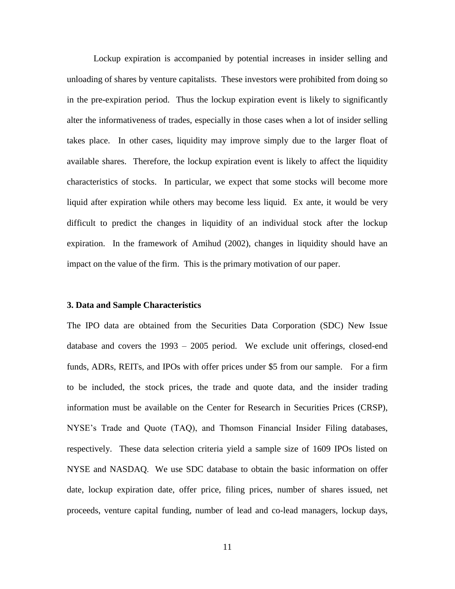Lockup expiration is accompanied by potential increases in insider selling and unloading of shares by venture capitalists. These investors were prohibited from doing so in the pre-expiration period. Thus the lockup expiration event is likely to significantly alter the informativeness of trades, especially in those cases when a lot of insider selling takes place. In other cases, liquidity may improve simply due to the larger float of available shares. Therefore, the lockup expiration event is likely to affect the liquidity characteristics of stocks. In particular, we expect that some stocks will become more liquid after expiration while others may become less liquid. Ex ante, it would be very difficult to predict the changes in liquidity of an individual stock after the lockup expiration. In the framework of Amihud (2002), changes in liquidity should have an impact on the value of the firm. This is the primary motivation of our paper.

### **3. Data and Sample Characteristics**

The IPO data are obtained from the Securities Data Corporation (SDC) New Issue database and covers the 1993 – 2005 period. We exclude unit offerings, closed-end funds, ADRs, REITs, and IPOs with offer prices under \$5 from our sample. For a firm to be included, the stock prices, the trade and quote data, and the insider trading information must be available on the Center for Research in Securities Prices (CRSP), NYSE's Trade and Quote (TAQ), and Thomson Financial Insider Filing databases, respectively. These data selection criteria yield a sample size of 1609 IPOs listed on NYSE and NASDAQ. We use SDC database to obtain the basic information on offer date, lockup expiration date, offer price, filing prices, number of shares issued, net proceeds, venture capital funding, number of lead and co-lead managers, lockup days,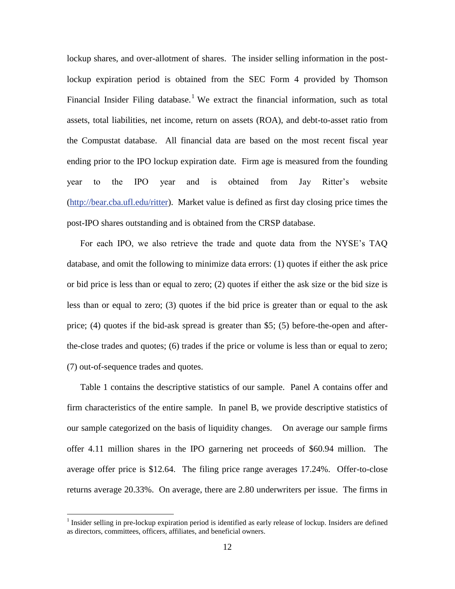lockup shares, and over-allotment of shares. The insider selling information in the postlockup expiration period is obtained from the SEC Form 4 provided by Thomson Financial Insider Filing database.<sup>1</sup> We extract the financial information, such as total assets, total liabilities, net income, return on assets (ROA), and debt-to-asset ratio from the Compustat database. All financial data are based on the most recent fiscal year ending prior to the IPO lockup expiration date. Firm age is measured from the founding year to the IPO year and is obtained from Jay Ritter's website [\(http://bear.cba.ufl.edu/ritter\)](http://bear.cba.ufl.edu/ritter). Market value is defined as first day closing price times the post-IPO shares outstanding and is obtained from the CRSP database.

For each IPO, we also retrieve the trade and quote data from the NYSE's TAQ database, and omit the following to minimize data errors: (1) quotes if either the ask price or bid price is less than or equal to zero; (2) quotes if either the ask size or the bid size is less than or equal to zero; (3) quotes if the bid price is greater than or equal to the ask price; (4) quotes if the bid-ask spread is greater than \$5; (5) before-the-open and afterthe-close trades and quotes; (6) trades if the price or volume is less than or equal to zero; (7) out-of-sequence trades and quotes.

Table 1 contains the descriptive statistics of our sample. Panel A contains offer and firm characteristics of the entire sample. In panel B, we provide descriptive statistics of our sample categorized on the basis of liquidity changes. On average our sample firms offer 4.11 million shares in the IPO garnering net proceeds of \$60.94 million. The average offer price is \$12.64. The filing price range averages 17.24%. Offer-to-close returns average 20.33%. On average, there are 2.80 underwriters per issue. The firms in

 $\overline{a}$ 

 $<sup>1</sup>$  Insider selling in pre-lockup expiration period is identified as early release of lockup. Insiders are defined</sup> as directors, committees, officers, affiliates, and beneficial owners.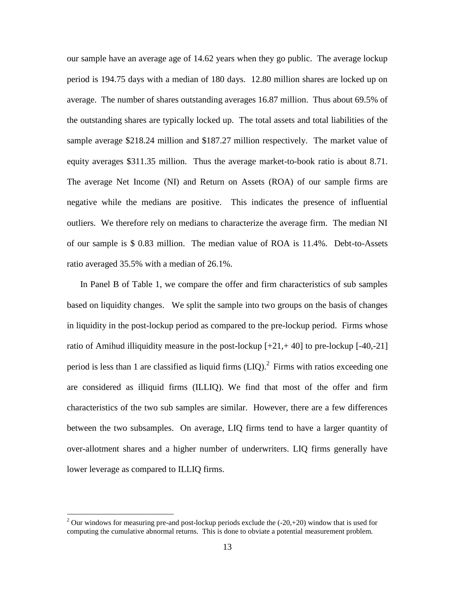our sample have an average age of 14.62 years when they go public. The average lockup period is 194.75 days with a median of 180 days. 12.80 million shares are locked up on average. The number of shares outstanding averages 16.87 million. Thus about 69.5% of the outstanding shares are typically locked up. The total assets and total liabilities of the sample average \$218.24 million and \$187.27 million respectively. The market value of equity averages \$311.35 million. Thus the average market-to-book ratio is about 8.71. The average Net Income (NI) and Return on Assets (ROA) of our sample firms are negative while the medians are positive. This indicates the presence of influential outliers. We therefore rely on medians to characterize the average firm. The median NI of our sample is \$ 0.83 million. The median value of ROA is 11.4%. Debt-to-Assets ratio averaged 35.5% with a median of 26.1%.

In Panel B of Table 1, we compare the offer and firm characteristics of sub samples based on liquidity changes. We split the sample into two groups on the basis of changes in liquidity in the post-lockup period as compared to the pre-lockup period. Firms whose ratio of Amihud illiquidity measure in the post-lockup  $[+21, +40]$  to pre-lockup  $[-40, -21]$ period is less than 1 are classified as liquid firms  $(LIQ)$ .<sup>2</sup> Firms with ratios exceeding one are considered as illiquid firms (ILLIQ). We find that most of the offer and firm characteristics of the two sub samples are similar. However, there are a few differences between the two subsamples. On average, LIQ firms tend to have a larger quantity of over-allotment shares and a higher number of underwriters. LIQ firms generally have lower leverage as compared to ILLIQ firms.

 $\overline{a}$ 

<sup>&</sup>lt;sup>2</sup> Our windows for measuring pre-and post-lockup periods exclude the  $(-20,+20)$  window that is used for computing the cumulative abnormal returns. This is done to obviate a potential measurement problem.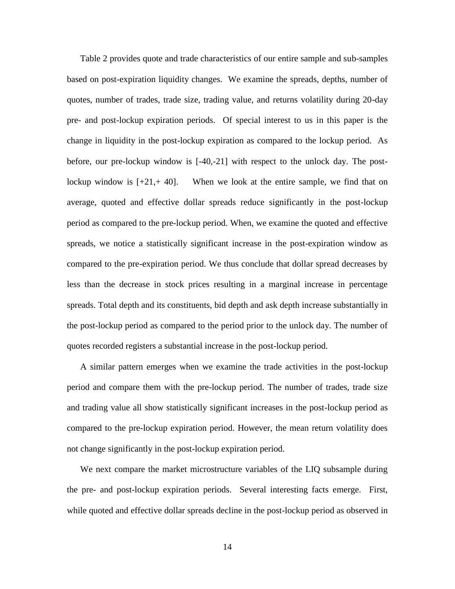Table 2 provides quote and trade characteristics of our entire sample and sub-samples based on post-expiration liquidity changes. We examine the spreads, depths, number of quotes, number of trades, trade size, trading value, and returns volatility during 20-day pre- and post-lockup expiration periods. Of special interest to us in this paper is the change in liquidity in the post-lockup expiration as compared to the lockup period. As before, our pre-lockup window is [-40,-21] with respect to the unlock day. The postlockup window is  $[-21, 40]$ . When we look at the entire sample, we find that on average, quoted and effective dollar spreads reduce significantly in the post-lockup period as compared to the pre-lockup period. When, we examine the quoted and effective spreads, we notice a statistically significant increase in the post-expiration window as compared to the pre-expiration period. We thus conclude that dollar spread decreases by less than the decrease in stock prices resulting in a marginal increase in percentage spreads. Total depth and its constituents, bid depth and ask depth increase substantially in the post-lockup period as compared to the period prior to the unlock day. The number of quotes recorded registers a substantial increase in the post-lockup period.

A similar pattern emerges when we examine the trade activities in the post-lockup period and compare them with the pre-lockup period. The number of trades, trade size and trading value all show statistically significant increases in the post-lockup period as compared to the pre-lockup expiration period. However, the mean return volatility does not change significantly in the post-lockup expiration period.

We next compare the market microstructure variables of the LIQ subsample during the pre- and post-lockup expiration periods. Several interesting facts emerge. First, while quoted and effective dollar spreads decline in the post-lockup period as observed in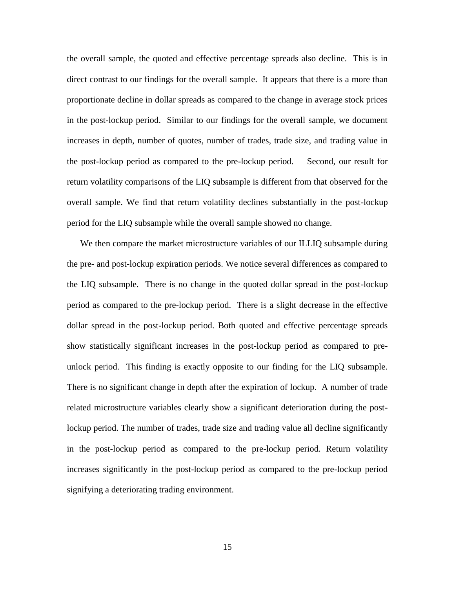the overall sample, the quoted and effective percentage spreads also decline. This is in direct contrast to our findings for the overall sample. It appears that there is a more than proportionate decline in dollar spreads as compared to the change in average stock prices in the post-lockup period. Similar to our findings for the overall sample, we document increases in depth, number of quotes, number of trades, trade size, and trading value in the post-lockup period as compared to the pre-lockup period. Second, our result for return volatility comparisons of the LIQ subsample is different from that observed for the overall sample. We find that return volatility declines substantially in the post-lockup period for the LIQ subsample while the overall sample showed no change.

We then compare the market microstructure variables of our ILLIQ subsample during the pre- and post-lockup expiration periods. We notice several differences as compared to the LIQ subsample. There is no change in the quoted dollar spread in the post-lockup period as compared to the pre-lockup period. There is a slight decrease in the effective dollar spread in the post-lockup period. Both quoted and effective percentage spreads show statistically significant increases in the post-lockup period as compared to preunlock period. This finding is exactly opposite to our finding for the LIQ subsample. There is no significant change in depth after the expiration of lockup. A number of trade related microstructure variables clearly show a significant deterioration during the postlockup period. The number of trades, trade size and trading value all decline significantly in the post-lockup period as compared to the pre-lockup period. Return volatility increases significantly in the post-lockup period as compared to the pre-lockup period signifying a deteriorating trading environment.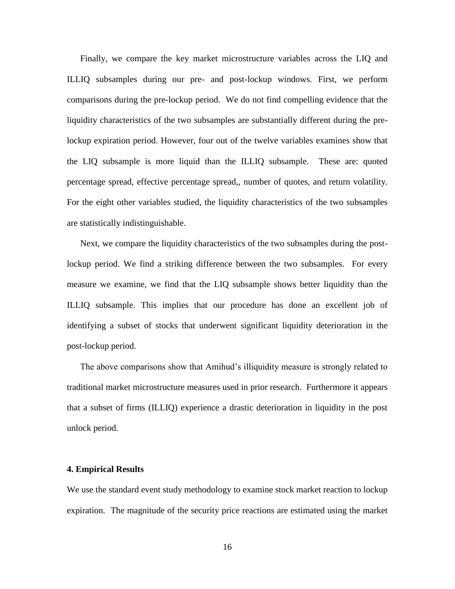Finally, we compare the key market microstructure variables across the LIQ and ILLIQ subsamples during our pre- and post-lockup windows. First, we perform comparisons during the pre-lockup period. We do not find compelling evidence that the liquidity characteristics of the two subsamples are substantially different during the prelockup expiration period. However, four out of the twelve variables examines show that the LIQ subsample is more liquid than the ILLIQ subsample. These are: quoted percentage spread, effective percentage spread,, number of quotes, and return volatility. For the eight other variables studied, the liquidity characteristics of the two subsamples are statistically indistinguishable.

Next, we compare the liquidity characteristics of the two subsamples during the postlockup period. We find a striking difference between the two subsamples. For every measure we examine, we find that the LIQ subsample shows better liquidity than the ILLIQ subsample. This implies that our procedure has done an excellent job of identifying a subset of stocks that underwent significant liquidity deterioration in the post-lockup period.

The above comparisons show that Amihud's illiquidity measure is strongly related to traditional market microstructure measures used in prior research. Furthermore it appears that a subset of firms (ILLIQ) experience a drastic deterioration in liquidity in the post unlock period.

#### **4. Empirical Results**

We use the standard event study methodology to examine stock market reaction to lockup expiration. The magnitude of the security price reactions are estimated using the market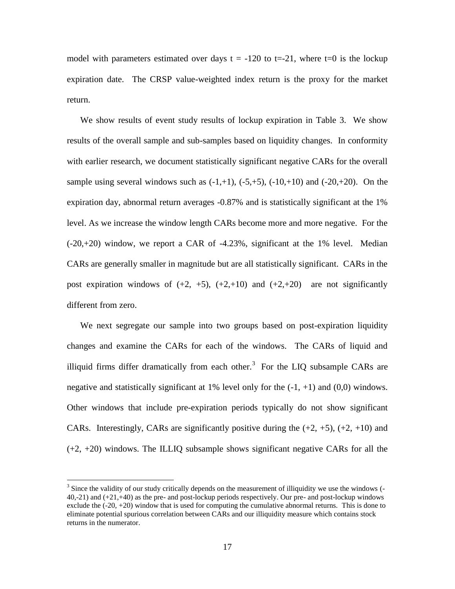model with parameters estimated over days  $t = -120$  to  $t = -21$ , where  $t = 0$  is the lockup expiration date. The CRSP value-weighted index return is the proxy for the market return.

We show results of event study results of lockup expiration in Table 3. We show results of the overall sample and sub-samples based on liquidity changes. In conformity with earlier research, we document statistically significant negative CARs for the overall sample using several windows such as  $(-1,+1)$ ,  $(-5,+5)$ ,  $(-10,+10)$  and  $(-20,+20)$ . On the expiration day, abnormal return averages -0.87% and is statistically significant at the 1% level. As we increase the window length CARs become more and more negative. For the  $(-20,+20)$  window, we report a CAR of  $-4.23\%$ , significant at the 1% level. Median CARs are generally smaller in magnitude but are all statistically significant. CARs in the post expiration windows of  $(+2, +5)$ ,  $(+2, +10)$  and  $(+2, +20)$  are not significantly different from zero.

We next segregate our sample into two groups based on post-expiration liquidity changes and examine the CARs for each of the windows. The CARs of liquid and illiquid firms differ dramatically from each other.<sup>3</sup> For the LIQ subsample CARs are negative and statistically significant at 1% level only for the  $(-1, +1)$  and  $(0,0)$  windows. Other windows that include pre-expiration periods typically do not show significant CARs. Interestingly, CARs are significantly positive during the  $(+2, +5)$ ,  $(+2, +10)$  and (+2, +20) windows. The ILLIQ subsample shows significant negative CARs for all the

 $\overline{a}$ 

 $3$  Since the validity of our study critically depends on the measurement of illiquidity we use the windows  $($ 40,-21) and (+21,+40) as the pre- and post-lockup periods respectively. Our pre- and post-lockup windows exclude the  $(-20, +20)$  window that is used for computing the cumulative abnormal returns. This is done to eliminate potential spurious correlation between CARs and our illiquidity measure which contains stock returns in the numerator.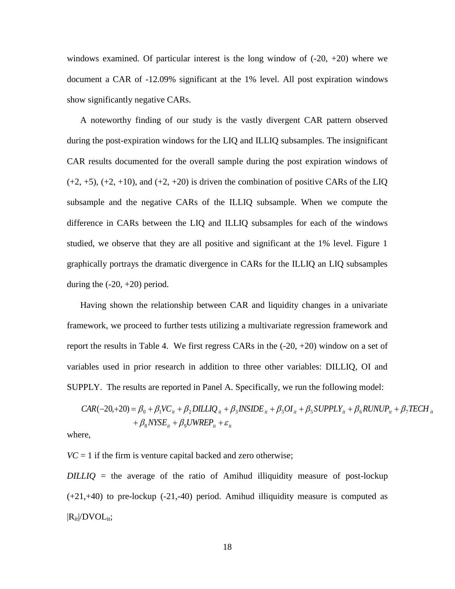windows examined. Of particular interest is the long window of  $(-20, +20)$  where we document a CAR of -12.09% significant at the 1% level. All post expiration windows show significantly negative CARs.

A noteworthy finding of our study is the vastly divergent CAR pattern observed during the post-expiration windows for the LIQ and ILLIQ subsamples. The insignificant CAR results documented for the overall sample during the post expiration windows of  $(+2, +5)$ ,  $(+2, +10)$ , and  $(+2, +20)$  is driven the combination of positive CARs of the LIQ subsample and the negative CARs of the ILLIQ subsample. When we compute the difference in CARs between the LIQ and ILLIQ subsamples for each of the windows studied, we observe that they are all positive and significant at the 1% level. Figure 1 graphically portrays the dramatic divergence in CARs for the ILLIQ an LIQ subsamples during the  $(-20, +20)$  period.

Having shown the relationship between CAR and liquidity changes in a univariate framework, we proceed to further tests utilizing a multivariate regression framework and report the results in Table 4. We first regress CARs in the  $(-20, +20)$  window on a set of variables used in prior research in addition to three other variables: DILLIQ, OI and SUPPLY. The results are reported in Panel A. Specifically, we run the following model:

$$
CAR(-20, +20) = \beta_0 + \beta_1 VC_{it} + \beta_2 DILLIQ_{it} + \beta_3 INSIDE_{it} + \beta_3OI_{it} + \beta_5 SUPPLY_{it} + \beta_6 RUNUP_{it} + \beta_7TECH_{it} + \beta_8 NYSE_{it} + \beta_9 UWREF_{it} + \varepsilon_{it}
$$

where,

 $VC = 1$  if the firm is venture capital backed and zero otherwise;

*DILLIQ* = the average of the ratio of Amihud illiquidity measure of post-lockup  $(+21,+40)$  to pre-lockup  $(-21,-40)$  period. Amihud illiquidity measure is computed as  $|R_{it}|/DVOL_{it};$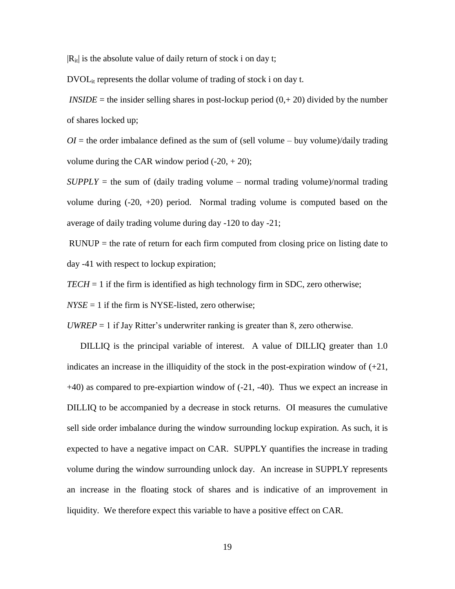$|R_{it}|$  is the absolute value of daily return of stock i on day t;

 $DVOL_{it}$  represents the dollar volume of trading of stock i on day t.

*INSIDE* = the insider selling shares in post-lockup period  $(0, +20)$  divided by the number of shares locked up;

 $OI =$  the order imbalance defined as the sum of (sell volume – buy volume)/daily trading volume during the CAR window period  $(-20, +20)$ ;

 $SUPPLY =$  the sum of (daily trading volume – normal trading volume)/normal trading volume during  $(-20, +20)$  period. Normal trading volume is computed based on the average of daily trading volume during day -120 to day -21;

 $RUNUP =$  the rate of return for each firm computed from closing price on listing date to day -41 with respect to lockup expiration;

 $TECH = 1$  if the firm is identified as high technology firm in SDC, zero otherwise;

 $NYSE = 1$  if the firm is NYSE-listed, zero otherwise;

*UWREP*  $=$  1 if Jay Ritter's underwriter ranking is greater than 8, zero otherwise.

DILLIQ is the principal variable of interest. A value of DILLIQ greater than 1.0 indicates an increase in the illiquidity of the stock in the post-expiration window of  $(+21)$ , +40) as compared to pre-expiartion window of (-21, -40). Thus we expect an increase in DILLIQ to be accompanied by a decrease in stock returns. OI measures the cumulative sell side order imbalance during the window surrounding lockup expiration. As such, it is expected to have a negative impact on CAR. SUPPLY quantifies the increase in trading volume during the window surrounding unlock day. An increase in SUPPLY represents an increase in the floating stock of shares and is indicative of an improvement in liquidity. We therefore expect this variable to have a positive effect on CAR.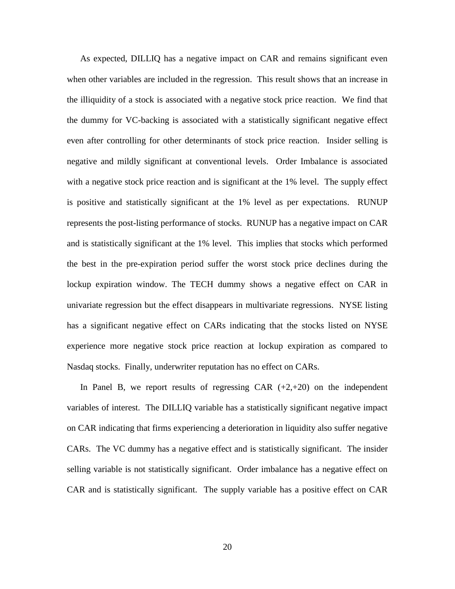As expected, DILLIQ has a negative impact on CAR and remains significant even when other variables are included in the regression. This result shows that an increase in the illiquidity of a stock is associated with a negative stock price reaction. We find that the dummy for VC-backing is associated with a statistically significant negative effect even after controlling for other determinants of stock price reaction. Insider selling is negative and mildly significant at conventional levels. Order Imbalance is associated with a negative stock price reaction and is significant at the 1% level. The supply effect is positive and statistically significant at the 1% level as per expectations. RUNUP represents the post-listing performance of stocks. RUNUP has a negative impact on CAR and is statistically significant at the 1% level. This implies that stocks which performed the best in the pre-expiration period suffer the worst stock price declines during the lockup expiration window. The TECH dummy shows a negative effect on CAR in univariate regression but the effect disappears in multivariate regressions. NYSE listing has a significant negative effect on CARs indicating that the stocks listed on NYSE experience more negative stock price reaction at lockup expiration as compared to Nasdaq stocks. Finally, underwriter reputation has no effect on CARs.

In Panel B, we report results of regressing CAR  $(+2, +20)$  on the independent variables of interest. The DILLIQ variable has a statistically significant negative impact on CAR indicating that firms experiencing a deterioration in liquidity also suffer negative CARs. The VC dummy has a negative effect and is statistically significant. The insider selling variable is not statistically significant. Order imbalance has a negative effect on CAR and is statistically significant. The supply variable has a positive effect on CAR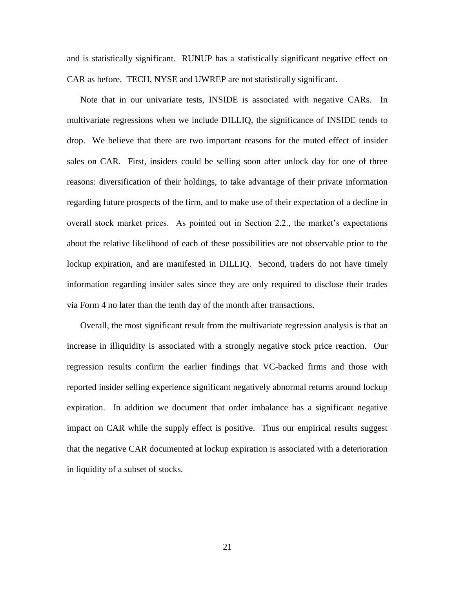and is statistically significant. RUNUP has a statistically significant negative effect on CAR as before. TECH, NYSE and UWREP are not statistically significant.

Note that in our univariate tests, INSIDE is associated with negative CARs. In multivariate regressions when we include DILLIQ, the significance of INSIDE tends to drop. We believe that there are two important reasons for the muted effect of insider sales on CAR. First, insiders could be selling soon after unlock day for one of three reasons: diversification of their holdings, to take advantage of their private information regarding future prospects of the firm, and to make use of their expectation of a decline in overall stock market prices. As pointed out in Section 2.2., the market's expectations about the relative likelihood of each of these possibilities are not observable prior to the lockup expiration, and are manifested in DILLIQ. Second, traders do not have timely information regarding insider sales since they are only required to disclose their trades via Form 4 no later than the tenth day of the month after transactions.

Overall, the most significant result from the multivariate regression analysis is that an increase in illiquidity is associated with a strongly negative stock price reaction. Our regression results confirm the earlier findings that VC-backed firms and those with reported insider selling experience significant negatively abnormal returns around lockup expiration. In addition we document that order imbalance has a significant negative impact on CAR while the supply effect is positive. Thus our empirical results suggest that the negative CAR documented at lockup expiration is associated with a deterioration in liquidity of a subset of stocks.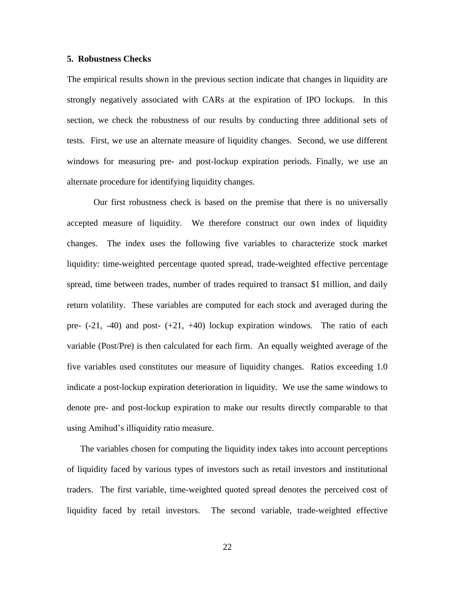### **5. Robustness Checks**

The empirical results shown in the previous section indicate that changes in liquidity are strongly negatively associated with CARs at the expiration of IPO lockups. In this section, we check the robustness of our results by conducting three additional sets of tests. First, we use an alternate measure of liquidity changes. Second, we use different windows for measuring pre- and post-lockup expiration periods. Finally, we use an alternate procedure for identifying liquidity changes.

Our first robustness check is based on the premise that there is no universally accepted measure of liquidity. We therefore construct our own index of liquidity changes. The index uses the following five variables to characterize stock market liquidity: time-weighted percentage quoted spread, trade-weighted effective percentage spread, time between trades, number of trades required to transact \$1 million, and daily return volatility. These variables are computed for each stock and averaged during the pre-  $(-21, -40)$  and post-  $(+21, +40)$  lockup expiration windows. The ratio of each variable (Post/Pre) is then calculated for each firm. An equally weighted average of the five variables used constitutes our measure of liquidity changes. Ratios exceeding 1.0 indicate a post-lockup expiration deterioration in liquidity. We use the same windows to denote pre- and post-lockup expiration to make our results directly comparable to that using Amihud's illiquidity ratio measure.

The variables chosen for computing the liquidity index takes into account perceptions of liquidity faced by various types of investors such as retail investors and institutional traders. The first variable, time-weighted quoted spread denotes the perceived cost of liquidity faced by retail investors. The second variable, trade-weighted effective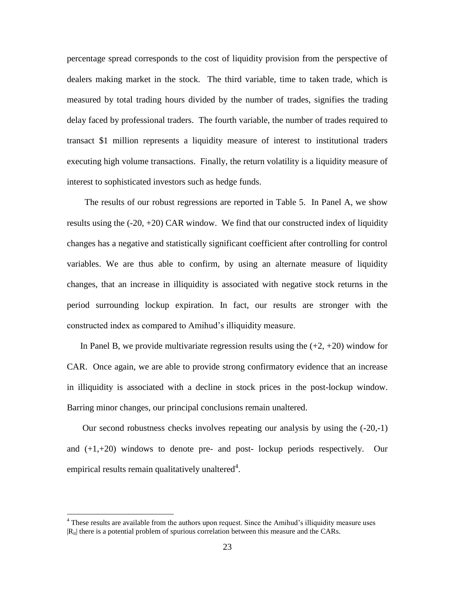percentage spread corresponds to the cost of liquidity provision from the perspective of dealers making market in the stock. The third variable, time to taken trade, which is measured by total trading hours divided by the number of trades, signifies the trading delay faced by professional traders. The fourth variable, the number of trades required to transact \$1 million represents a liquidity measure of interest to institutional traders executing high volume transactions. Finally, the return volatility is a liquidity measure of interest to sophisticated investors such as hedge funds.

 The results of our robust regressions are reported in Table 5. In Panel A, we show results using the  $(-20, +20)$  CAR window. We find that our constructed index of liquidity changes has a negative and statistically significant coefficient after controlling for control variables. We are thus able to confirm, by using an alternate measure of liquidity changes, that an increase in illiquidity is associated with negative stock returns in the period surrounding lockup expiration. In fact, our results are stronger with the constructed index as compared to Amihud's illiquidity measure.

In Panel B, we provide multivariate regression results using the  $(+2, +20)$  window for CAR. Once again, we are able to provide strong confirmatory evidence that an increase in illiquidity is associated with a decline in stock prices in the post-lockup window. Barring minor changes, our principal conclusions remain unaltered.

Our second robustness checks involves repeating our analysis by using the (-20,-1) and  $(+1,+20)$  windows to denote pre- and post-lockup periods respectively. Our empirical results remain qualitatively unaltered<sup>4</sup>.

 $\overline{a}$ 

<sup>&</sup>lt;sup>4</sup> These results are available from the authors upon request. Since the Amihud's illiquidity measure uses  $|R_{it}|$  there is a potential problem of spurious correlation between this measure and the CARs.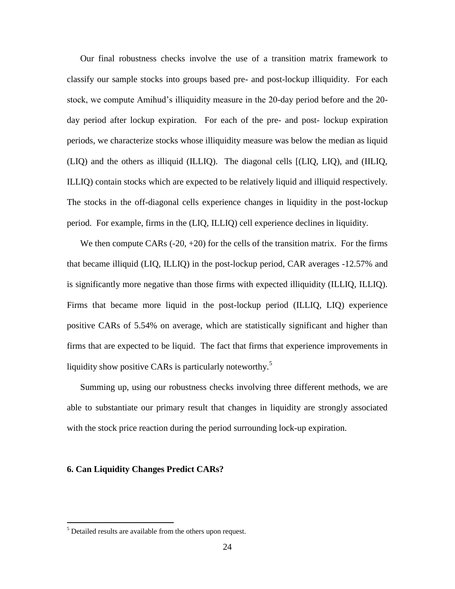Our final robustness checks involve the use of a transition matrix framework to classify our sample stocks into groups based pre- and post-lockup illiquidity. For each stock, we compute Amihud's illiquidity measure in the 20-day period before and the 20 day period after lockup expiration. For each of the pre- and post- lockup expiration periods, we characterize stocks whose illiquidity measure was below the median as liquid (LIQ) and the others as illiquid (ILLIQ). The diagonal cells [(LIQ, LIQ), and (IILIQ, ILLIQ) contain stocks which are expected to be relatively liquid and illiquid respectively. The stocks in the off-diagonal cells experience changes in liquidity in the post-lockup period. For example, firms in the (LIQ, ILLIQ) cell experience declines in liquidity.

We then compute CARs  $(-20, +20)$  for the cells of the transition matrix. For the firms that became illiquid (LIQ, ILLIQ) in the post-lockup period, CAR averages -12.57% and is significantly more negative than those firms with expected illiquidity (ILLIQ, ILLIQ). Firms that became more liquid in the post-lockup period (ILLIQ, LIQ) experience positive CARs of 5.54% on average, which are statistically significant and higher than firms that are expected to be liquid. The fact that firms that experience improvements in liquidity show positive CARs is particularly noteworthy.<sup>5</sup>

Summing up, using our robustness checks involving three different methods, we are able to substantiate our primary result that changes in liquidity are strongly associated with the stock price reaction during the period surrounding lock-up expiration.

### **6. Can Liquidity Changes Predict CARs?**

 $\overline{a}$ 

<sup>&</sup>lt;sup>5</sup> Detailed results are available from the others upon request.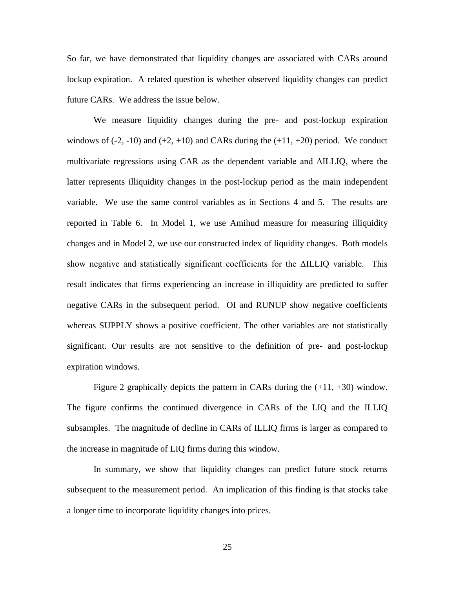So far, we have demonstrated that liquidity changes are associated with CARs around lockup expiration. A related question is whether observed liquidity changes can predict future CARs. We address the issue below.

We measure liquidity changes during the pre- and post-lockup expiration windows of  $(-2, -10)$  and  $(+2, +10)$  and CARs during the  $(+11, +20)$  period. We conduct multivariate regressions using CAR as the dependent variable and ΔILLIQ, where the latter represents illiquidity changes in the post-lockup period as the main independent variable. We use the same control variables as in Sections 4 and 5. The results are reported in Table 6. In Model 1, we use Amihud measure for measuring illiquidity changes and in Model 2, we use our constructed index of liquidity changes. Both models show negative and statistically significant coefficients for the ΔILLIQ variable. This result indicates that firms experiencing an increase in illiquidity are predicted to suffer negative CARs in the subsequent period. OI and RUNUP show negative coefficients whereas SUPPLY shows a positive coefficient. The other variables are not statistically significant. Our results are not sensitive to the definition of pre- and post-lockup expiration windows.

Figure 2 graphically depicts the pattern in CARs during the  $(+11, +30)$  window. The figure confirms the continued divergence in CARs of the LIQ and the ILLIQ subsamples. The magnitude of decline in CARs of ILLIQ firms is larger as compared to the increase in magnitude of LIQ firms during this window.

In summary, we show that liquidity changes can predict future stock returns subsequent to the measurement period. An implication of this finding is that stocks take a longer time to incorporate liquidity changes into prices.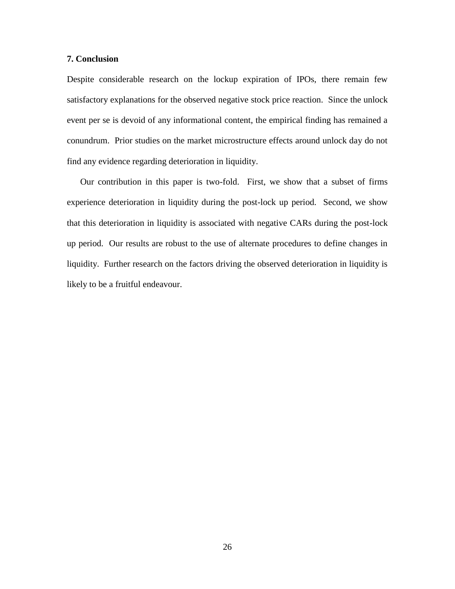# **7. Conclusion**

Despite considerable research on the lockup expiration of IPOs, there remain few satisfactory explanations for the observed negative stock price reaction. Since the unlock event per se is devoid of any informational content, the empirical finding has remained a conundrum. Prior studies on the market microstructure effects around unlock day do not find any evidence regarding deterioration in liquidity.

Our contribution in this paper is two-fold. First, we show that a subset of firms experience deterioration in liquidity during the post-lock up period. Second, we show that this deterioration in liquidity is associated with negative CARs during the post-lock up period. Our results are robust to the use of alternate procedures to define changes in liquidity. Further research on the factors driving the observed deterioration in liquidity is likely to be a fruitful endeavour.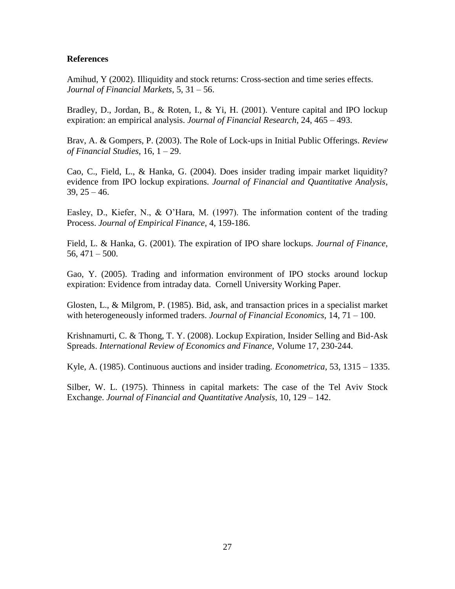# **References**

Amihud, Y (2002). Illiquidity and stock returns: Cross-section and time series effects. *Journal of Financial Markets*, 5, 31 – 56.

Bradley, D., Jordan, B., & Roten, I., & Yi, H. (2001). Venture capital and IPO lockup expiration: an empirical analysis. *Journal of Financial Research*, 24, 465 – 493.

Brav, A. & Gompers, P. (2003). The Role of Lock-ups in Initial Public Offerings. *Review of Financial Studies*, 16, 1 – 29.

Cao, C., Field, L., & Hanka, G. (2004). Does insider trading impair market liquidity? evidence from IPO lockup expirations. *Journal of Financial and Quantitative Analysis*,  $39, 25 - 46.$ 

Easley, D., Kiefer, N., & O'Hara, M. (1997). The information content of the trading Process. *Journal of Empirical Finance*, 4, 159-186.

Field, L. & Hanka, G. (2001). The expiration of IPO share lockups. *Journal of Finance*,  $56,471 - 500.$ 

Gao, Y. (2005). Trading and information environment of IPO stocks around lockup expiration: Evidence from intraday data. Cornell University Working Paper.

Glosten, L., & Milgrom, P. (1985). Bid, ask, and transaction prices in a specialist market with heterogeneously informed traders. *Journal of Financial Economics,* 14, 71 – 100.

Krishnamurti, C. & Thong, T. Y. (2008). Lockup Expiration, Insider Selling and Bid-Ask Spreads. *International Review of Economics and Finance*, Volume 17, 230-244.

Kyle, A. (1985). Continuous auctions and insider trading. *Econometrica*, 53, 1315 – 1335.

Silber, W. L. (1975). Thinness in capital markets: The case of the Tel Aviv Stock Exchange. *Journal of Financial and Quantitative Analysis*, 10, 129 – 142.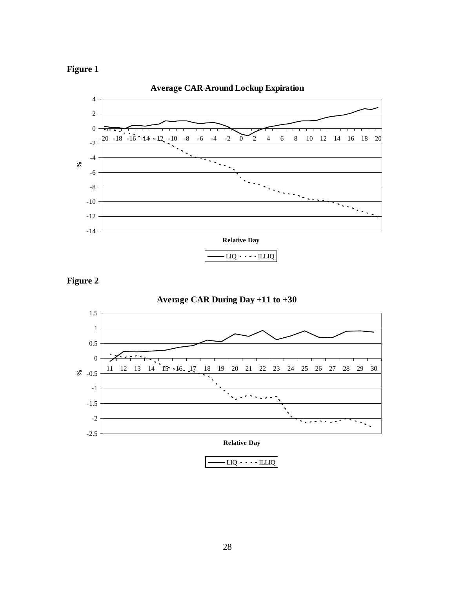







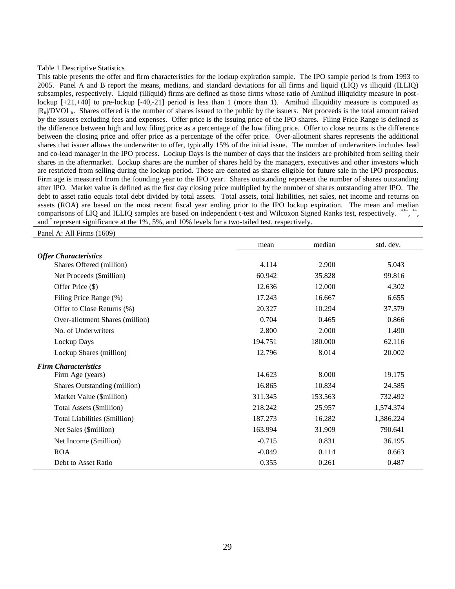#### Table 1 Descriptive Statistics

This table presents the offer and firm characteristics for the lockup expiration sample. The IPO sample period is from 1993 to 2005. Panel A and B report the means, medians, and standard deviations for all firms and liquid (LIQ) vs illiquid (ILLIQ) subsamples, respectively. Liquid (illiquid) firms are defined as those firms whose ratio of Amihud illiquidity measure in postlockup  $[-21, +40]$  to pre-lockup  $[-40, -21]$  period is less than 1 (more than 1). Amihud illiquidity measure is computed as  $|R_{it}|DVOL_{it}$ . Shares offered is the number of shares issued to the public by the issuers. Net proceeds is the total amount raised by the issuers excluding fees and expenses. Offer price is the issuing price of the IPO shares. Filing Price Range is defined as the difference between high and low filing price as a percentage of the low filing price. Offer to close returns is the difference between the closing price and offer price as a percentage of the offer price. Over-allotment shares represents the additional shares that issuer allows the underwriter to offer, typically 15% of the initial issue. The number of underwriters includes lead and co-lead manager in the IPO process. Lockup Days is the number of days that the insiders are prohibited from selling their shares in the aftermarket. Lockup shares are the number of shares held by the managers, executives and other investors which are restricted from selling during the lockup period. These are denoted as shares eligible for future sale in the IPO prospectus. Firm age is measured from the founding year to the IPO year. Shares outstanding represent the number of shares outstanding after IPO. Market value is defined as the first day closing price multiplied by the number of shares outstanding after IPO. The debt to asset ratio equals total debt divided by total assets. Total assets, total liabilities, net sales, net income and returns on assets (ROA) are based on the most recent fiscal year ending prior to the IPO lockup expiration. The mean and median comparisons of LIQ and ILLIQ samples are based on independent t-test and Wilcoxon Signed Ranks test, respectively. \*\*\*, \*\*, and \* represent significance at the 1%, 5%, and 10% levels for a two-tailed test, respectively.

Panel A: All Firms (1609)

|                                 | mean     | median  | std. dev. |
|---------------------------------|----------|---------|-----------|
| <b>Offer Characteristics</b>    |          |         |           |
| Shares Offered (million)        | 4.114    | 2.900   | 5.043     |
| Net Proceeds (\$million)        | 60.942   | 35.828  | 99.816    |
| Offer Price (\$)                | 12.636   | 12.000  | 4.302     |
| Filing Price Range (%)          | 17.243   | 16.667  | 6.655     |
| Offer to Close Returns (%)      | 20.327   | 10.294  | 37.579    |
| Over-allotment Shares (million) | 0.704    | 0.465   | 0.866     |
| No. of Underwriters             | 2.800    | 2.000   | 1.490     |
| Lockup Days                     | 194.751  | 180.000 | 62.116    |
| Lockup Shares (million)         | 12.796   | 8.014   | 20.002    |
| <b>Firm Characteristics</b>     |          |         |           |
| Firm Age (years)                | 14.623   | 8.000   | 19.175    |
| Shares Outstanding (million)    | 16.865   | 10.834  | 24.585    |
| Market Value (\$million)        | 311.345  | 153.563 | 732.492   |
| Total Assets (\$million)        | 218.242  | 25.957  | 1,574.374 |
| Total Liabilities (\$million)   | 187.273  | 16.282  | 1,386.224 |
| Net Sales (\$million)           | 163.994  | 31.909  | 790.641   |
| Net Income (\$million)          | $-0.715$ | 0.831   | 36.195    |
| <b>ROA</b>                      | $-0.049$ | 0.114   | 0.663     |
| Debt to Asset Ratio             | 0.355    | 0.261   | 0.487     |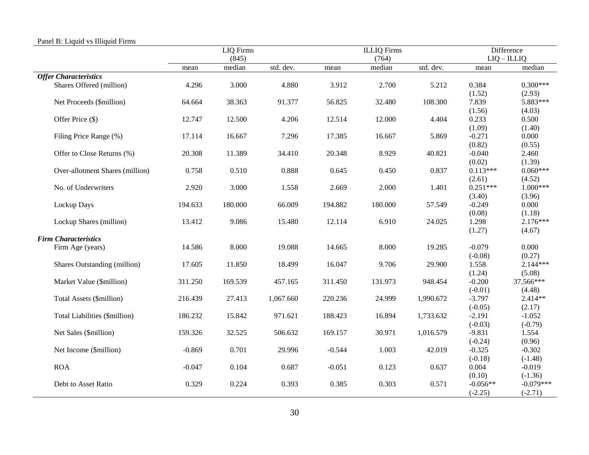|                                 |          | <b>LIQ</b> Firms |           |          | <b>ILLIQ</b> Firms |           | <b>Difference</b>    |                      |  |
|---------------------------------|----------|------------------|-----------|----------|--------------------|-----------|----------------------|----------------------|--|
|                                 |          | (845)            |           |          | (764)              |           |                      | $LIQ - ILLIQ$        |  |
|                                 | mean     | median           | std. dev. | mean     | median             | std. dev. | mean                 | median               |  |
| <b>Offer Characteristics</b>    |          |                  |           |          |                    |           |                      |                      |  |
| Shares Offered (million)        | 4.296    | 3.000            | 4.880     | 3.912    | 2.700              | 5.212     | 0.384                | $0.300***$           |  |
|                                 |          |                  |           |          |                    |           | (1.52)               | (2.93)               |  |
| Net Proceeds (\$million)        | 64.664   | 38.363           | 91.377    | 56.825   | 32.480             | 108.300   | 7.839                | 5.883***             |  |
|                                 |          |                  |           |          |                    |           | (1.56)               | (4.03)               |  |
| Offer Price (\$)                | 12.747   | 12.500           | 4.206     | 12.514   | 12.000             | 4.404     | 0.233                | 0.500                |  |
|                                 |          |                  |           |          |                    |           | (1.09)               | (1.40)               |  |
| Filing Price Range (%)          | 17.114   | 16.667           | 7.296     | 17.385   | 16.667             | 5.869     | $-0.271$             | 0.000                |  |
|                                 |          |                  |           |          |                    |           | (0.82)               | (0.55)               |  |
| Offer to Close Returns (%)      | 20.308   | 11.389           | 34.410    | 20.348   | 8.929              | 40.821    | $-0.040$             | 2.460                |  |
|                                 |          |                  |           |          |                    |           | (0.02)               | (1.39)               |  |
| Over-allotment Shares (million) | 0.758    | 0.510            | 0.888     | 0.645    | 0.450              | 0.837     | $0.113***$           | $0.060***$           |  |
|                                 |          |                  |           |          |                    |           | (2.61)<br>$0.251***$ | (4.52)<br>$1.000***$ |  |
| No. of Underwriters             | 2.920    | 3.000            | 1.558     | 2.669    | 2.000              | 1.401     |                      |                      |  |
|                                 |          |                  |           |          |                    |           | (3.40)<br>$-0.249$   | (3.96)<br>0.000      |  |
| Lockup Days                     | 194.633  | 180.000          | 66.009    | 194.882  | 180.000            | 57.549    |                      |                      |  |
|                                 | 13.412   | 9.086            | 15.480    | 12.114   | 6.910              | 24.025    | (0.08)<br>1.298      | (1.18)<br>$2.176***$ |  |
| Lockup Shares (million)         |          |                  |           |          |                    |           | (1.27)               | (4.67)               |  |
| <b>Firm Characteristics</b>     |          |                  |           |          |                    |           |                      |                      |  |
| Firm Age (years)                | 14.586   | 8.000            | 19.088    | 14.665   | 8.000              | 19.285    | $-0.079$             | 0.000                |  |
|                                 |          |                  |           |          |                    |           | $(-0.08)$            | (0.27)               |  |
| Shares Outstanding (million)    | 17.605   | 11.850           | 18.499    | 16.047   | 9.706              | 29.900    | 1.558                | $2.144***$           |  |
|                                 |          |                  |           |          |                    |           | (1.24)               | (5.08)               |  |
| Market Value (\$million)        | 311.250  | 169.539          | 457.165   | 311.450  | 131.973            | 948.454   | $-0.200$             | 37.566***            |  |
|                                 |          |                  |           |          |                    |           | $(-0.01)$            | (4.48)               |  |
| Total Assets (\$million)        | 216.439  | 27.413           | 1,067.660 | 220.236  | 24.999             | 1,990.672 | $-3.797$             | 2.414**              |  |
|                                 |          |                  |           |          |                    |           | $(-0.05)$            | (2.17)               |  |
| Total Liabilities (\$million)   | 186.232  | 15.842           | 971.621   | 188.423  | 16.894             | 1,733.632 | $-2.191$             | $-1.052$             |  |
|                                 |          |                  |           |          |                    |           | $(-0.03)$            | $(-0.79)$            |  |
| Net Sales (\$million)           | 159.326  | 32.525           | 506.632   | 169.157  | 30.971             | 1,016.579 | $-9.831$             | 1.554                |  |
|                                 |          |                  |           |          |                    |           | $(-0.24)$            | (0.96)               |  |
| Net Income (\$million)          | $-0.869$ | 0.701            | 29.996    | $-0.544$ | 1.003              | 42.019    | $-0.325$             | $-0.302$             |  |
|                                 |          |                  |           |          |                    |           | $(-0.18)$            | $(-1.48)$            |  |
| <b>ROA</b>                      | $-0.047$ | 0.104            | 0.687     | $-0.051$ | 0.123              | 0.637     | 0.004                | $-0.019$             |  |
|                                 |          |                  |           |          |                    |           | (0.10)               | $(-1.36)$            |  |
| Debt to Asset Ratio             | 0.329    | 0.224            | 0.393     | 0.385    | 0.303              | 0.571     | $-0.056**$           | $-0.079***$          |  |
|                                 |          |                  |           |          |                    |           | $(-2.25)$            | $(-2.71)$            |  |

### Panel B: Liquid vs Illiquid Firms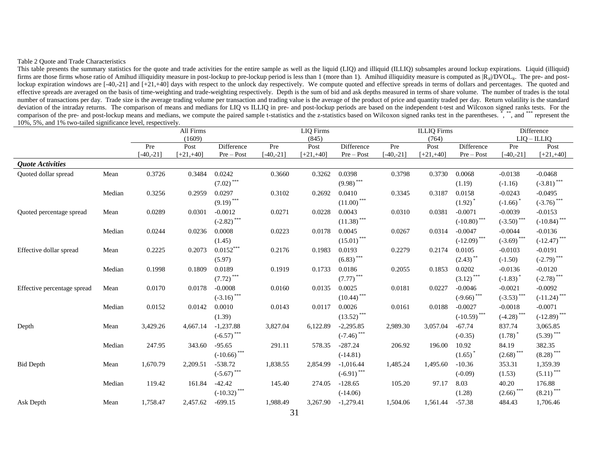#### Table 2 Quote and Trade Characteristics

This table presents the summary statistics for the quote and trade activities for the entire sample as well as the liquid (LIQ) and illiquid (ILLIQ) subsamples around lockup expirations. Liquid (illiquid) firms are those firms whose ratio of Amihud illiquidity measure in post-lockup to pre-lockup period is less than 1 (more than 1). Amihud illiquidity measure is computed as  $\hat{R}_i/\hat{D}VOL_i$ . The pre- and postlockup expiration windows are [-40,-21] and [+21,+40] days with respect to the unlock day respectively. We compute quoted and effective spreads in terms of dollars and percentages. The quoted and effective spreads are averaged on the basis of time-weighting and trade-weighting respectively. Depth is the sum of bid and ask depths measured in terms of share volume. The number of trades is the total number of transactions per day. Trade size is the average trading volume per transaction and trading value is the average of the product of price and quantity traded per day. Return volatility is the standard deviation of the intraday returns. The comparison of means and medians for LIQ vs ILLIQ in pre- and post-lockup periods are based on the independent t-test and Wilcoxon signed ranks tests. For the comparison of the pre- and post-lockup means and medians, we compute the paired sample t-statistics and the z-statistics based on Wilcoxon signed ranks test in the parentheses. \*, \*\*,\*,\*,\*,\*,\* and \*\*\*\* represent the 10%, 5%, and 1% two-tailed significance level, respectively.

|                             |        |             | All Firms    |                  | <b>LIQ</b> Firms |              |                         |             | <b>ILLIQ</b> Firms |                         | Difference    |                                           |
|-----------------------------|--------|-------------|--------------|------------------|------------------|--------------|-------------------------|-------------|--------------------|-------------------------|---------------|-------------------------------------------|
|                             |        |             | (1609)       |                  |                  | (845)        |                         |             | (764)              |                         |               | $LIQ - ILLIQ$                             |
|                             |        | Pre         | Post         | Difference       | Pre              | Post         | Difference              | Pre         | Post               | Difference              | Pre           | Post                                      |
|                             |        | $-40,-21$ ] | $[-21, +40]$ | Pre-Post         | $-40, -21$       | $[-21, +40]$ | Pre-Post                | $[-40,-21]$ | $[-21, +40]$       | Pre-Post                | $[-40,-21]$   | $[+21,+40]$                               |
| <b>Quote Activities</b>     |        |             |              |                  |                  |              |                         |             |                    |                         |               |                                           |
| Quoted dollar spread        | Mean   | 0.3726      | 0.3484       | 0.0242           | 0.3660           | 0.3262       | 0.0398                  | 0.3798      | 0.3730             | 0.0068                  | $-0.0138$     | $-0.0468$                                 |
|                             |        |             |              | $***$<br>(7.02)  |                  |              | $(9.98)$ ***            |             |                    | (1.19)                  | $(-1.16)$     | $(-3.81)$ ***                             |
|                             | Median | 0.3256      | 0.2959       | 0.0297           | 0.3102           | 0.2692       | 0.0410                  | 0.3345      | 0.3187             | 0.0158                  | $-0.0243$     | $-0.0495$                                 |
|                             |        |             |              | $(9.19)$ ***     |                  |              | $(11.00)$ ***           |             |                    | $(1.92)$ <sup>*</sup>   | $(-1.66)$     | $(-3.76)$ ***                             |
| Quoted percentage spread    | Mean   | 0.0289      | 0.0301       | $-0.0012$        | 0.0271           | 0.0228       | 0.0043                  | 0.0310      | 0.0381             | $-0.0071$               | $-0.0039$     | $-0.0153$                                 |
|                             |        |             |              | ***<br>$(-2.82)$ |                  |              | $(11.38)$ ***           |             |                    | $(-10.80)$ ***          | $(-3.50)$ *** | $(-10.84)$ ***                            |
|                             | Median | 0.0244      | 0.0236       | 0.0008           | 0.0223           | 0.0178       | 0.0045                  | 0.0267      | 0.0314             | $-0.0047$               | $-0.0044$     | $-0.0136$                                 |
|                             |        |             |              | (1.45)           |                  |              | $(15.01)$ ***           |             |                    | $(-12.09)$ ***          | $(-3.69)$ *** | $\left( -12.47\right) ^{\ast \ast \ast }$ |
| Effective dollar spread     | Mean   | 0.2225      | 0.2073       | $0.0152***$      | 0.2176           | 0.1983       | 0.0193                  | 0.2279      | 0.2174             | 0.0105                  | $-0.0103$     | $-0.0191$                                 |
|                             |        |             |              | (5.97)           |                  |              | $(6.83)$ ***            |             |                    | $(2.43)$ **             | $(-1.50)$     | $(-2.79)$ ***                             |
|                             | Median | 0.1998      | 0.1809       | 0.0189           | 0.1919           | 0.1733       | 0.0186                  | 0.2055      | 0.1853             | 0.0202                  | $-0.0136$     | $-0.0120$                                 |
|                             |        |             |              | $***$<br>(7.72)  |                  |              | $(7.77)$ <sup>***</sup> |             |                    | $(3.12)$ <sup>***</sup> | $(-1.83)$     | $(-2.78)$ ***                             |
| Effective percentage spread | Mean   | 0.0170      | 0.0178       | $-0.0008$        | 0.0160           | 0.0135       | 0.0025                  | 0.0181      | 0.0227             | $-0.0046$               | $-0.0021$     | $-0.0092$                                 |
|                             |        |             |              | $(-3.16)$ ***    |                  |              | $(10.44)$ ***           |             |                    | $(-9.66)$ ***           | $(-3.53)$ *** | $(-11.24)$ ***                            |
|                             | Median | 0.0152      | 0.0142       | 0.0010           | 0.0143           | 0.0117       | 0.0026                  | 0.0161      | 0.0188             | $-0.0027$               | $-0.0018$     | $-0.0071$                                 |
|                             |        |             |              | (1.39)           |                  |              | $(13.52)$ ***           |             |                    | $(-10.59)$ ***          | $(-4.28)$ *** | $(-12.89)$ ***                            |
| Depth                       | Mean   | 3,429.26    | 4,667.14     | $-1,237.88$      | 3,827.04         | 6,122.89     | $-2,295.85$             | 2,989.30    | 3,057.04           | $-67.74$                | 837.74        | 3,065.85                                  |
|                             |        |             |              | $(-6.57)$ ***    |                  |              | $(-7.46)$ ***           |             |                    | $(-0.35)$               | (1.78)        | $(5.39)$ ***                              |
|                             | Median | 247.95      | 343.60       | $-95.65$         | 291.11           | 578.35       | $-287.24$               | 206.92      | 196.00             | 10.92                   | 84.19         | 382.35                                    |
|                             |        |             |              | $(-10.66)$ ***   |                  |              | $(-14.81)$              |             |                    | (1.65)                  | $(2.68)$ ***  | $(8.28)$ <sup>***</sup>                   |
| <b>Bid Depth</b>            | Mean   | 1,670.79    | 2,209.51     | $-538.72$        | 1,838.55         | 2,854.99     | $-1,016.44$             | 1,485.24    | 1,495.60           | $-10.36$                | 353.31        | 1,359.39                                  |
|                             |        |             |              | $(-5.67)$ ***    |                  |              | $(-6.91)$ ***           |             |                    | $(-0.09)$               | (1.53)        | $(5.11)$ <sup>***</sup>                   |
|                             | Median | 119.42      | 161.84       | $-42.42$         | 145.40           | 274.05       | $-128.65$               | 105.20      | 97.17              | 8.03                    | 40.20         | 176.88                                    |
|                             |        |             |              | $(-10.32)$ ***   |                  |              | $(-14.06)$              |             |                    | (1.28)                  | $(2.66)$ ***  | $(8.21)$ ***                              |
| Ask Depth                   | Mean   | 1,758.47    | 2,457.62     | $-699.15$        | 1,988.49         | 3,267.90     | $-1,279.41$             | 1,504.06    | 1,561.44           | $-57.38$                | 484.43        | 1,706.46                                  |
|                             |        |             |              |                  |                  |              |                         |             |                    |                         |               |                                           |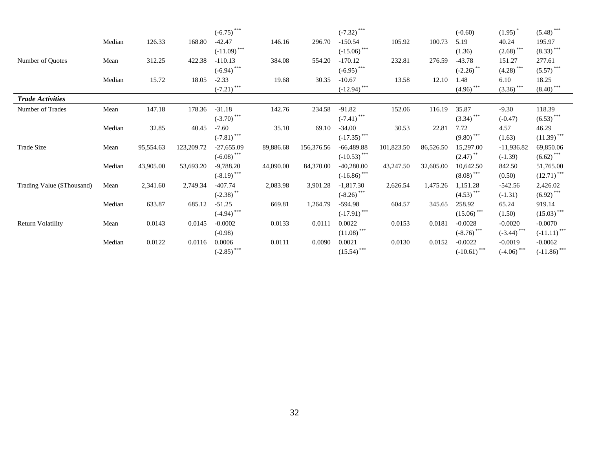|                            |        |           |            | $(-6.75)$ ***    |           |            | $(-7.32)$ ***        |            |           | $(-0.60)$                          | (1.95)                  | $(5.48)$ ***            |
|----------------------------|--------|-----------|------------|------------------|-----------|------------|----------------------|------------|-----------|------------------------------------|-------------------------|-------------------------|
|                            | Median | 126.33    | 168.80     | $-42.47$         | 146.16    | 296.70     | $-150.54$            | 105.92     | 100.73    | 5.19                               | 40.24                   | 195.97                  |
|                            |        |           |            | $(-11.09)$ ***   |           |            | $(-15.06)$ ***       |            |           | (1.36)                             | $(2.68)$ <sup>***</sup> | $(8.33)$ ***            |
| Number of Ouotes           | Mean   | 312.25    | 422.38     | $-110.13$        | 384.08    | 554.20     | $-170.12$            | 232.81     | 276.59    | $-43.78$                           | 151.27                  | 277.61                  |
|                            |        |           |            | $(-6.94)$ ***    |           |            | $(-6.95)$ ***        |            |           | $(-2.26)$ **                       | $(4.28)$ ***            | $(5.57)$ ***            |
|                            | Median | 15.72     | 18.05      | $-2.33$          | 19.68     | 30.35      | $-10.67$             | 13.58      | 12.10     | 1.48                               | 6.10                    | 18.25                   |
|                            |        |           |            | ***<br>$(-7.21)$ |           |            | $\frac{(-12.94)}{2}$ |            |           | $\left(4.96\right)$ <sup>***</sup> | $(3.36)$ ***            | $(8.40)$ <sup>***</sup> |
| <b>Trade Activities</b>    |        |           |            |                  |           |            |                      |            |           |                                    |                         |                         |
| Number of Trades           | Mean   | 147.18    | 178.36     | $-31.18$         | 142.76    | 234.58     | $-91.82$             | 152.06     | 116.19    | 35.87                              | $-9.30$                 | 118.39                  |
|                            |        |           |            | $(-3.70)$ ***    |           |            | $(-7.41)$ ***        |            |           | $(3.34)$ ***                       | $(-0.47)$               | $(6.53)$ ***            |
|                            | Median | 32.85     | 40.45      | $-7.60$          | 35.10     | 69.10      | $-34.00$             | 30.53      | 22.81     | 7.72                               | 4.57                    | 46.29                   |
|                            |        |           |            | $(-7.81)$ ***    |           |            | $(-17.35)$ ***       |            |           | $(9.80)$ ***                       | (1.63)                  | $(11.39)$ ***           |
| Trade Size                 | Mean   | 95,554.63 | 123,209.72 | $-27,655.09$     | 89,886.68 | 156,376.56 | $-66,489.88$         | 101,823.50 | 86,526.50 | 15,297.00                          | $-11,936.82$            | 69,850.06               |
|                            |        |           |            | $(-6.08)$ ***    |           |            | $(-10.53)$ ***       |            |           | $(2.47)$ <sup>**</sup>             | $(-1.39)$               | $(6.62)$ ***            |
|                            | Median | 43,905.00 | 53,693.20  | $-9,788.20$      | 44,090.00 | 84,370.00  | $-40,280.00$         | 43,247.50  | 32,605.00 | 10,642.50                          | 842.50                  | 51,765.00               |
|                            |        |           |            | $(-8.19)$ ***    |           |            | $(-16.86)$ ***       |            |           | $(8.08)$ ***                       | (0.50)                  | $(12.71)$ ***           |
| Trading Value (\$Thousand) | Mean   | 2,341.60  | 2,749.34   | $-407.74$        | 2,083.98  | 3,901.28   | $-1,817.30$          | 2,626.54   | 1,475.26  | 1,151.28                           | $-542.56$               | 2,426.02                |
|                            |        |           |            | $(-2.38)$        |           |            | $(-8.26)$ ***        |            |           | $(4.53)$ ***                       | $(-1.31)$               | $(6.92)$ ***            |
|                            | Median | 633.87    | 685.12     | $-51.25$         | 669.81    | 1,264.79   | $-594.98$            | 604.57     | 345.65    | 258.92                             | 65.24                   | 919.14                  |
|                            |        |           |            | $(-4.94)$ ***    |           |            | $(-17.91)$ ***       |            |           | $(15.06)$ ***                      | (1.50)                  | $(15.03)$ ***           |
| <b>Return Volatility</b>   | Mean   | 0.0143    | 0.0145     | $-0.0002$        | 0.0133    | 0.0111     | 0.0022               | 0.0153     | 0.0181    | $-0.0028$                          | $-0.0020$               | $-0.0070$               |
|                            |        |           |            | $(-0.98)$        |           |            | $(11.08)$ ***        |            |           | $(-8.76)$ ***                      | $(-3.44)$ ***           | $(-11.11)$ ***          |
|                            | Median | 0.0122    | 0.0116     | 0.0006           | 0.0111    | 0.0090     | 0.0021               | 0.0130     | 0.0152    | $-0.0022$                          | $-0.0019$               | $-0.0062$               |
|                            |        |           |            | $(-2.85)$ ***    |           |            | $(15.54)$ ***        |            |           | $(-10.61)$ ***                     | $\frac{(-4.06)}{2}$     | $(-11.86)$ ***          |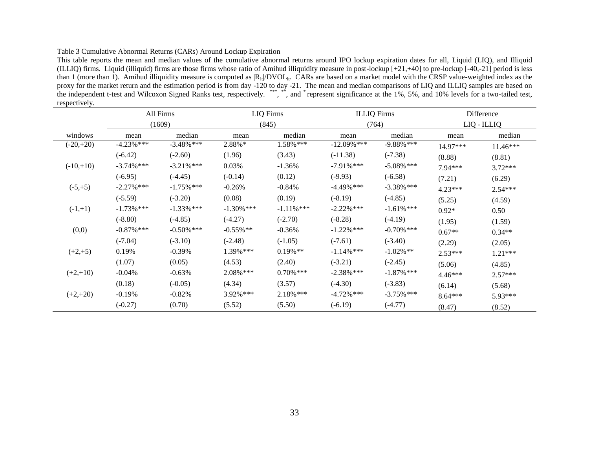#### Table 3 Cumulative Abnormal Returns (CARs) Around Lockup Expiration

This table reports the mean and median values of the cumulative abnormal returns around IPO lockup expiration dates for all, Liquid (LIQ), and Illiquid (ILLIQ) firms. Liquid (illiquid) firms are those firms whose ratio of Amihud illiquidity measure in post-lockup [+21,+40] to pre-lockup [-40,-21] period is less than 1 (more than 1). Amihud illiquidity measure is computed as  $|R_{it}|DVOL_{it}$ . CARs are based on a market model with the CRSP value-weighted index as the proxy for the market return and the estimation period is from day -120 to day -21. The mean and median comparisons of LIQ and ILLIQ samples are based on the independent t-test and Wilcoxon Signed Ranks test, respectively. \*\*\*, \*\*, and \*represent significance at the 1%, 5%, and 10% levels for a two-tailed test, respectively.

|             |               | All Firms     | <b>LIQ</b> Firms |               | <b>ILLIQ</b> Firms |               | Difference |             |
|-------------|---------------|---------------|------------------|---------------|--------------------|---------------|------------|-------------|
|             |               | (1609)        |                  | (845)         |                    | (764)         |            | LIQ - ILLIQ |
| windows     | mean          | median        | mean             | median        | mean               | median        | mean       | median      |
| $(-20,+20)$ | $-4.23%$ ***  | $-3.48\%$ *** | 2.88%*           | $1.58\%$ ***  | $-12.09\%$ ***     | $-9.88\%$ *** | 14.97***   | $11.46***$  |
|             | $(-6.42)$     | $(-2.60)$     | (1.96)           | (3.43)        | $(-11.38)$         | $(-7.38)$     | (8.88)     | (8.81)      |
| $(-10,+10)$ | $-3.74\%$ *** | $-3.21\%$ *** | 0.03%            | $-1.36%$      | $-7.91\%$ ***      | $-5.08\%$ *** | 7.94***    | $3.72***$   |
|             | $(-6.95)$     | $(-4.45)$     | $(-0.14)$        | (0.12)        | $(-9.93)$          | $(-6.58)$     | (7.21)     | (6.29)      |
| $(-5,+5)$   | $-2.27\%$ *** | $-1.75\%$ *** | $-0.26%$         | $-0.84%$      | $-4.49\%$ ***      | $-3.38\%$ *** | $4.23***$  | $2.54***$   |
|             | $(-5.59)$     | $(-3.20)$     | (0.08)           | (0.19)        | $(-8.19)$          | $(-4.85)$     | (5.25)     | (4.59)      |
| $(-1,+1)$   | $-1.73\%$ *** | $-1.33\%$ *** | $-1.30\%$ ***    | $-1.11\%$ *** | $-2.22\%$ ***      | $-1.61\%$ *** | $0.92*$    | 0.50        |
|             | $(-8.80)$     | $(-4.85)$     | $(-4.27)$        | $(-2.70)$     | $(-8.28)$          | $(-4.19)$     | (1.95)     | (1.59)      |
| (0,0)       | $-0.87\%$ *** | $-0.50\%$ *** | $-0.55\%$ **     | $-0.36%$      | $-1.22\%$ ***      | $-0.70\%$ *** | $0.67**$   | $0.34**$    |
|             | $(-7.04)$     | $(-3.10)$     | $(-2.48)$        | $(-1.05)$     | $(-7.61)$          | $(-3.40)$     | (2.29)     | (2.05)      |
| $(+2,+5)$   | 0.19%         | $-0.39%$      | 1.39% ***        | $0.19\%$ **   | $-1.14\%$ ***      | $-1.02\%$ **  | 2.53***    | $1.21***$   |
|             | (1.07)        | (0.05)        | (4.53)           | (2.40)        | $(-3.21)$          | $(-2.45)$     | (5.06)     | (4.85)      |
| $(+2,+10)$  | $-0.04%$      | $-0.63%$      | 2.08% ***        | $0.70\%$ ***  | $-2.38\%$ ***      | $-1.87\%$ *** | $4.46***$  | $2.57***$   |
|             | (0.18)        | $(-0.05)$     | (4.34)           | (3.57)        | $(-4.30)$          | $(-3.83)$     | (6.14)     | (5.68)      |
| $(+2,+20)$  | $-0.19%$      | $-0.82%$      | 3.92% ***        | $2.18\%$ ***  | $-4.72\%$ ***      | $-3.75\%$ *** | $8.64***$  | 5.93***     |
|             | $(-0.27)$     | (0.70)        | (5.52)           | (5.50)        | $(-6.19)$          | $(-4.77)$     | (8.47)     | (8.52)      |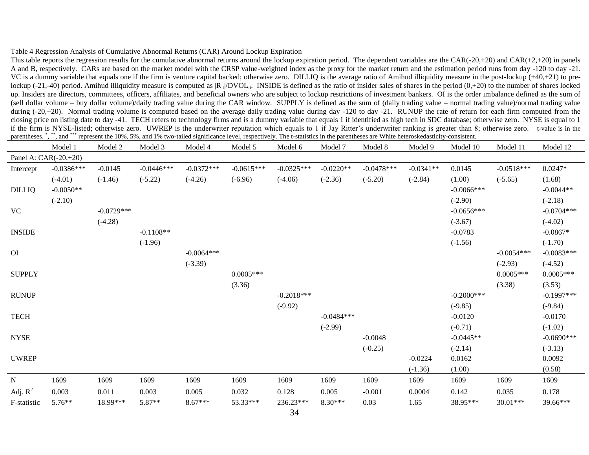#### Table 4 Regression Analysis of Cumulative Abnormal Returns (CAR) Around Lockup Expiration

This table reports the regression results for the cumulative abnormal returns around the lockup expiration period. The dependent variables are the CAR(-20,+20) and CAR(+2,+20) in panels A and B, respectively. CARs are based on the market model with the CRSP value-weighted index as the proxy for the market return and the estimation period runs from day -120 to day -21. VC is a dummy variable that equals one if the firm is venture capital backed; otherwise zero. DILLIQ is the average ratio of Amihud illiquidity measure in the post-lockup  $(+40,+21)$  to prelockup (-21,-40) period. Amihud illiquidity measure is computed as  $|R_{it}/DVOL_{it}$ . INSIDE is defined as the ratio of insider sales of shares in the period (0,+20) to the number of shares locked up. Insiders are directors, committees, officers, affiliates, and beneficial owners who are subject to lockup restrictions of investment bankers. OI is the order imbalance defined as the sum of (sell dollar volume – buy dollar volume)/daily trading value during the CAR window. SUPPLY is defined as the sum of (daily trading value – normal trading value)/normal trading value during (-20,+20). Normal trading volume is computed based on the average daily trading value during day -120 to day -21. RUNUP the rate of return for each firm computed from the closing price on listing date to day -41. TECH refers to technology firms and is a dummy variable that equals 1 if identified as high tech in SDC database; otherwise zero. NYSE is equal to 1 if the firm is NYSE-listed; otherwise zero. UWREP is the underwriter reputation which equals to 1 if Jay Ritter's underwriter ranking is greater than 8; otherwise zero. t-value is in the parentheses. ", \*", and \*\*\* represent the 10%, 5%, and 1% two-tailed significance level, respectively. The t-statistics in the parentheses are White heteroskedasticity-consistent.

|                       | Model 1      | Model 2      | Model 3      | Model 4      | Model 5      | Model 6      | Model 7      | Model 8      | Model 9     | Model 10      | Model 11     | Model 12     |
|-----------------------|--------------|--------------|--------------|--------------|--------------|--------------|--------------|--------------|-------------|---------------|--------------|--------------|
| Panel A: CAR(-20,+20) |              |              |              |              |              |              |              |              |             |               |              |              |
| Intercept             | $-0.0386***$ | $-0.0145$    | $-0.0446***$ | $-0.0372***$ | $-0.0615***$ | $-0.0325***$ | $-0.0220**$  | $-0.0478***$ | $-0.0341**$ | 0.0145        | $-0.0518***$ | $0.0247*$    |
|                       | $(-4.01)$    | $(-1.46)$    | $(-5.22)$    | $(-4.26)$    | $(-6.96)$    | $(-4.06)$    | $(-2.36)$    | $(-5.20)$    | $(-2.84)$   | (1.00)        | $(-5.65)$    | (1.68)       |
| <b>DILLIQ</b>         | $-0.0050**$  |              |              |              |              |              |              |              |             | $-0.0066$ *** |              | $-0.0044**$  |
|                       | $(-2.10)$    |              |              |              |              |              |              |              |             | $(-2.90)$     |              | $(-2.18)$    |
| <b>VC</b>             |              | $-0.0729***$ |              |              |              |              |              |              |             | $-0.0656***$  |              | $-0.0704***$ |
|                       |              | $(-4.28)$    |              |              |              |              |              |              |             | $(-3.67)$     |              | $(-4.02)$    |
| <b>INSIDE</b>         |              |              | $-0.1108**$  |              |              |              |              |              |             | $-0.0783$     |              | $-0.0867*$   |
|                       |              |              | $(-1.96)$    |              |              |              |              |              |             | $(-1.56)$     |              | $(-1.70)$    |
| O <sub>I</sub>        |              |              |              | $-0.0064***$ |              |              |              |              |             |               | $-0.0054***$ | $-0.0083***$ |
|                       |              |              |              | $(-3.39)$    |              |              |              |              |             |               | $(-2.93)$    | $(-4.52)$    |
| <b>SUPPLY</b>         |              |              |              |              | $0.0005***$  |              |              |              |             |               | $0.0005***$  | $0.0005***$  |
|                       |              |              |              |              | (3.36)       |              |              |              |             |               | (3.38)       | (3.53)       |
| <b>RUNUP</b>          |              |              |              |              |              | $-0.2018***$ |              |              |             | $-0.2000***$  |              | $-0.1997***$ |
|                       |              |              |              |              |              | $(-9.92)$    |              |              |             | $(-9.85)$     |              | $(-9.84)$    |
| <b>TECH</b>           |              |              |              |              |              |              | $-0.0484***$ |              |             | $-0.0120$     |              | $-0.0170$    |
|                       |              |              |              |              |              |              | $(-2.99)$    |              |             | $(-0.71)$     |              | $(-1.02)$    |
| <b>NYSE</b>           |              |              |              |              |              |              |              | $-0.0048$    |             | $-0.0445**$   |              | $-0.0690***$ |
|                       |              |              |              |              |              |              |              | $(-0.25)$    |             | $(-2.14)$     |              | $(-3.13)$    |
| <b>UWREP</b>          |              |              |              |              |              |              |              |              | $-0.0224$   | 0.0162        |              | 0.0092       |
|                       |              |              |              |              |              |              |              |              | $(-1.36)$   | (1.00)        |              | (0.58)       |
| ${\bf N}$             | 1609         | 1609         | 1609         | 1609         | 1609         | 1609         | 1609         | 1609         | 1609        | 1609          | 1609         | 1609         |
| Adj. $R^2$            | 0.003        | 0.011        | 0.003        | 0.005        | 0.032        | 0.128        | 0.005        | $-0.001$     | 0.0004      | 0.142         | 0.035        | 0.178        |
| F-statistic           | 5.76**       | 18.99***     | 5.87**       | $8.67***$    | 53.33***     | 236.23***    | $8.30***$    | 0.03         | 1.65        | 38.95***      | 30.01***     | 39.66***     |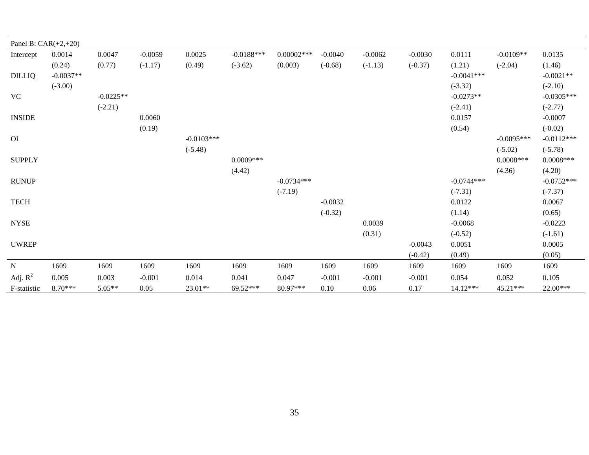| Panel B: $CAR(+2,+20)$ |             |             |           |              |              |               |           |           |           |              |              |              |
|------------------------|-------------|-------------|-----------|--------------|--------------|---------------|-----------|-----------|-----------|--------------|--------------|--------------|
| Intercept              | 0.0014      | 0.0047      | $-0.0059$ | 0.0025       | $-0.0188***$ | $0.00002$ *** | $-0.0040$ | $-0.0062$ | $-0.0030$ | 0.0111       | $-0.0109**$  | 0.0135       |
|                        | (0.24)      | (0.77)      | $(-1.17)$ | (0.49)       | $(-3.62)$    | (0.003)       | $(-0.68)$ | $(-1.13)$ | $(-0.37)$ | (1.21)       | $(-2.04)$    | (1.46)       |
| <b>DILLIQ</b>          | $-0.0037**$ |             |           |              |              |               |           |           |           | $-0.0041***$ |              | $-0.0021**$  |
|                        | $(-3.00)$   |             |           |              |              |               |           |           |           | $(-3.32)$    |              | $(-2.10)$    |
| <b>VC</b>              |             | $-0.0225**$ |           |              |              |               |           |           |           | $-0.0273**$  |              | $-0.0305***$ |
|                        |             | $(-2.21)$   |           |              |              |               |           |           |           | $(-2.41)$    |              | $(-2.77)$    |
| <b>INSIDE</b>          |             |             | 0.0060    |              |              |               |           |           |           | 0.0157       |              | $-0.0007$    |
|                        |             |             | (0.19)    |              |              |               |           |           |           | (0.54)       |              | $(-0.02)$    |
| O <sub>I</sub>         |             |             |           | $-0.0103***$ |              |               |           |           |           |              | $-0.0095***$ | $-0.0112***$ |
|                        |             |             |           | $(-5.48)$    |              |               |           |           |           |              | $(-5.02)$    | $(-5.78)$    |
| <b>SUPPLY</b>          |             |             |           |              | $0.0009***$  |               |           |           |           |              | $0.0008***$  | $0.0008***$  |
|                        |             |             |           |              | (4.42)       |               |           |           |           |              | (4.36)       | (4.20)       |
| <b>RUNUP</b>           |             |             |           |              |              | $-0.0734***$  |           |           |           | $-0.0744***$ |              | $-0.0752***$ |
|                        |             |             |           |              |              | $(-7.19)$     |           |           |           | $(-7.31)$    |              | $(-7.37)$    |
| <b>TECH</b>            |             |             |           |              |              |               | $-0.0032$ |           |           | 0.0122       |              | 0.0067       |
|                        |             |             |           |              |              |               | $(-0.32)$ |           |           | (1.14)       |              | (0.65)       |
| <b>NYSE</b>            |             |             |           |              |              |               |           | 0.0039    |           | $-0.0068$    |              | $-0.0223$    |
|                        |             |             |           |              |              |               |           | (0.31)    |           | $(-0.52)$    |              | $(-1.61)$    |
| <b>UWREP</b>           |             |             |           |              |              |               |           |           | $-0.0043$ | 0.0051       |              | 0.0005       |
|                        |             |             |           |              |              |               |           |           | $(-0.42)$ | (0.49)       |              | (0.05)       |
| ${\bf N}$              | 1609        | 1609        | 1609      | 1609         | 1609         | 1609          | 1609      | 1609      | 1609      | 1609         | 1609         | 1609         |
| Adj. $R^2$             | 0.005       | 0.003       | $-0.001$  | 0.014        | 0.041        | 0.047         | $-0.001$  | $-0.001$  | $-0.001$  | 0.054        | 0.052        | 0.105        |
| F-statistic            | 8.70***     | $5.05**$    | 0.05      | $23.01**$    | 69.52***     | 80.97***      | 0.10      | 0.06      | 0.17      | 14.12***     | $45.21***$   | 22.00***     |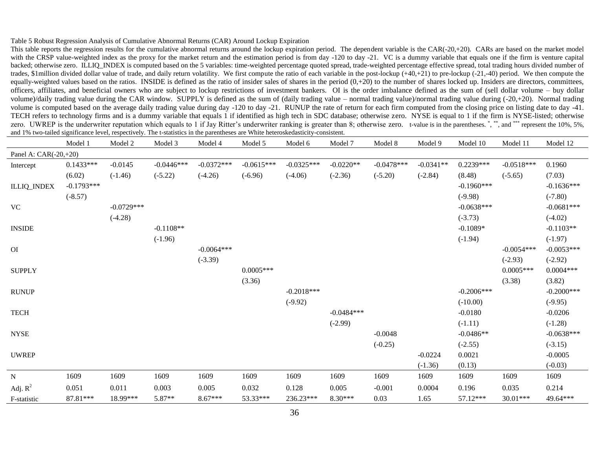#### Table 5 Robust Regression Analysis of Cumulative Abnormal Returns (CAR) Around Lockup Expiration

This table reports the regression results for the cumulative abnormal returns around the lockup expiration period. The dependent variable is the CAR(-20,+20). CARs are based on the market model with the CRSP value-weighted index as the proxy for the market return and the estimation period is from day -120 to day -21. VC is a dummy variable that equals one if the firm is venture capital backed; otherwise zero. ILLIQ\_INDEX is computed based on the 5 variables: time-weighted percentage quoted spread, trade-weighted percentage effective spread, total trading hours divided number of trades, \$1million divided dollar value of trade, and daily return volatility. We first compute the ratio of each variable in the post-lockup (+40,+21) to pre-lockup (-21,-40) period. We then compute the equally-weighted values based on the ratios. INSIDE is defined as the ratio of insider sales of shares in the period  $(0, +20)$  to the number of shares locked up. Insiders are directors, committees, officers, affiliates, and beneficial owners who are subject to lockup restrictions of investment bankers. OI is the order imbalance defined as the sum of (sell dollar volume – buy dollar volume)/daily trading value during the CAR window. SUPPLY is defined as the sum of (daily trading value – normal trading value)/normal trading value during (-20,+20). Normal trading volume is computed based on the average daily trading value during day -120 to day -21. RUNUP the rate of return for each firm computed from the closing price on listing date to day -41. TECH refers to technology firms and is a dummy variable that equals 1 if identified as high tech in SDC database; otherwise zero. NYSE is equal to 1 if the firm is NYSE-listed; otherwise zero. UWREP is the underwriter reputation which equals to 1 if Jay Ritter's underwriter ranking is greater than 8; otherwise zero. t-value is in the parentheses.<sup>\*</sup>,\*\*\*, and \*\*\*\* represent the 10%, 5%, and 1% two-tailed significance level, respectively. The t-statistics in the parentheses are White heteroskedasticity-consistent.

|                       | Model 1      | Model 2      | Model 3      | Model 4      | Model 5      | Model 6      | Model 7      | Model 8      | Model 9     | Model 10     | Model 11     | Model 12     |
|-----------------------|--------------|--------------|--------------|--------------|--------------|--------------|--------------|--------------|-------------|--------------|--------------|--------------|
| Panel A: CAR(-20,+20) |              |              |              |              |              |              |              |              |             |              |              |              |
| Intercept             | $0.1433***$  | $-0.0145$    | $-0.0446***$ | $-0.0372***$ | $-0.0615***$ | $-0.0325***$ | $-0.0220**$  | $-0.0478***$ | $-0.0341**$ | $0.2239***$  | $-0.0518***$ | 0.1960       |
|                       | (6.02)       | $(-1.46)$    | $(-5.22)$    | $(-4.26)$    | $(-6.96)$    | $(-4.06)$    | $(-2.36)$    | $(-5.20)$    | $(-2.84)$   | (8.48)       | $(-5.65)$    | (7.03)       |
| <b>ILLIQ_INDEX</b>    | $-0.1793***$ |              |              |              |              |              |              |              |             | $-0.1960***$ |              | $-0.1636***$ |
|                       | $(-8.57)$    |              |              |              |              |              |              |              |             | $(-9.98)$    |              | $(-7.80)$    |
| <b>VC</b>             |              | $-0.0729***$ |              |              |              |              |              |              |             | $-0.0638***$ |              | $-0.0681***$ |
|                       |              | $(-4.28)$    |              |              |              |              |              |              |             | $(-3.73)$    |              | $(-4.02)$    |
| <b>INSIDE</b>         |              |              | $-0.1108**$  |              |              |              |              |              |             | $-0.1089*$   |              | $-0.1103**$  |
|                       |              |              | $(-1.96)$    |              |              |              |              |              |             | $(-1.94)$    |              | $(-1.97)$    |
| <b>OI</b>             |              |              |              | $-0.0064***$ |              |              |              |              |             |              | $-0.0054***$ | $-0.0053***$ |
|                       |              |              |              | $(-3.39)$    |              |              |              |              |             |              | $(-2.93)$    | $(-2.92)$    |
| <b>SUPPLY</b>         |              |              |              |              | $0.0005***$  |              |              |              |             |              | $0.0005***$  | $0.0004***$  |
|                       |              |              |              |              | (3.36)       |              |              |              |             |              | (3.38)       | (3.82)       |
| <b>RUNUP</b>          |              |              |              |              |              | $-0.2018***$ |              |              |             | $-0.2006***$ |              | $-0.2000***$ |
|                       |              |              |              |              |              | $(-9.92)$    |              |              |             | $(-10.00)$   |              | $(-9.95)$    |
| <b>TECH</b>           |              |              |              |              |              |              | $-0.0484***$ |              |             | $-0.0180$    |              | $-0.0206$    |
|                       |              |              |              |              |              |              | $(-2.99)$    |              |             | $(-1.11)$    |              | $(-1.28)$    |
| <b>NYSE</b>           |              |              |              |              |              |              |              | $-0.0048$    |             | $-0.0486**$  |              | $-0.0638***$ |
|                       |              |              |              |              |              |              |              | $(-0.25)$    |             | $(-2.55)$    |              | $(-3.15)$    |
| <b>UWREP</b>          |              |              |              |              |              |              |              |              | $-0.0224$   | 0.0021       |              | $-0.0005$    |
|                       |              |              |              |              |              |              |              |              | $(-1.36)$   | (0.13)       |              | $(-0.03)$    |
| ${\bf N}$             | 1609         | 1609         | 1609         | 1609         | 1609         | 1609         | 1609         | 1609         | 1609        | 1609         | 1609         | 1609         |
| Adj. $R^2$            | 0.051        | 0.011        | 0.003        | 0.005        | 0.032        | 0.128        | 0.005        | $-0.001$     | 0.0004      | 0.196        | 0.035        | 0.214        |
| F-statistic           | 87.81***     | 18.99***     | 5.87**       | $8.67***$    | 53.33***     | 236.23***    | $8.30***$    | 0.03         | 1.65        | 57.12***     | $30.01***$   | 49.64***     |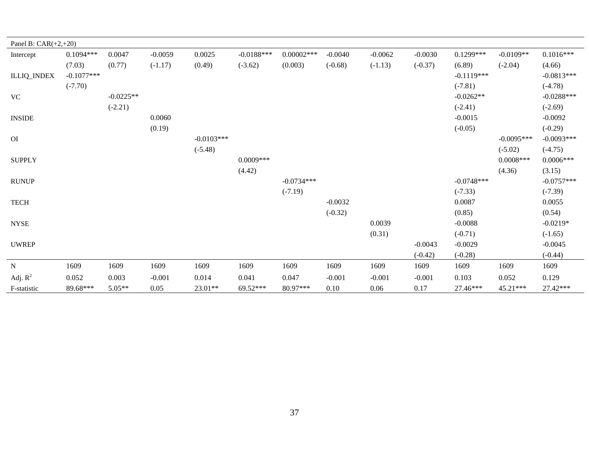| Panel B: $CAR(+2,+20)$       |              |             |           |              |              |              |           |           |           |              |              |              |
|------------------------------|--------------|-------------|-----------|--------------|--------------|--------------|-----------|-----------|-----------|--------------|--------------|--------------|
| Intercept                    | $0.1094***$  | 0.0047      | $-0.0059$ | 0.0025       | $-0.0188***$ | $0.00002***$ | $-0.0040$ | $-0.0062$ | $-0.0030$ | $0.1299***$  | $-0.0109**$  | $0.1016***$  |
|                              | (7.03)       | (0.77)      | $(-1.17)$ | (0.49)       | $(-3.62)$    | (0.003)      | $(-0.68)$ | $(-1.13)$ | $(-0.37)$ | (6.89)       | $(-2.04)$    | (4.66)       |
| <b>ILLIQ_INDEX</b>           | $-0.1077***$ |             |           |              |              |              |           |           |           | $-0.1119***$ |              | $-0.0813***$ |
|                              | $(-7.70)$    |             |           |              |              |              |           |           |           | $(-7.81)$    |              | $(-4.78)$    |
| <b>VC</b>                    |              | $-0.0225**$ |           |              |              |              |           |           |           | $-0.0262**$  |              | $-0.0288***$ |
|                              |              | $(-2.21)$   |           |              |              |              |           |           |           | $(-2.41)$    |              | $(-2.69)$    |
| <b>INSIDE</b>                |              |             | 0.0060    |              |              |              |           |           |           | $-0.0015$    |              | $-0.0092$    |
|                              |              |             | (0.19)    |              |              |              |           |           |           | $(-0.05)$    |              | $(-0.29)$    |
| O <sub>I</sub>               |              |             |           | $-0.0103***$ |              |              |           |           |           |              | $-0.0095***$ | $-0.0093***$ |
|                              |              |             |           | $(-5.48)$    |              |              |           |           |           |              | $(-5.02)$    | $(-4.75)$    |
| <b>SUPPLY</b>                |              |             |           |              | $0.0009***$  |              |           |           |           |              | $0.0008$ *** | $0.0006***$  |
|                              |              |             |           |              | (4.42)       |              |           |           |           |              | (4.36)       | (3.15)       |
| <b>RUNUP</b>                 |              |             |           |              |              | $-0.0734***$ |           |           |           | $-0.0748***$ |              | $-0.0757***$ |
|                              |              |             |           |              |              | $(-7.19)$    |           |           |           | $(-7.33)$    |              | $(-7.39)$    |
| <b>TECH</b>                  |              |             |           |              |              |              | $-0.0032$ |           |           | 0.0087       |              | 0.0055       |
|                              |              |             |           |              |              |              | $(-0.32)$ |           |           | (0.85)       |              | (0.54)       |
| $\ensuremath{\mathsf{NYSE}}$ |              |             |           |              |              |              |           | 0.0039    |           | $-0.0088$    |              | $-0.0219*$   |
|                              |              |             |           |              |              |              |           | (0.31)    |           | $(-0.71)$    |              | $(-1.65)$    |
| <b>UWREP</b>                 |              |             |           |              |              |              |           |           | $-0.0043$ | $-0.0029$    |              | $-0.0045$    |
|                              |              |             |           |              |              |              |           |           | $(-0.42)$ | $(-0.28)$    |              | $(-0.44)$    |
| ${\bf N}$                    | 1609         | 1609        | 1609      | 1609         | 1609         | 1609         | 1609      | 1609      | 1609      | 1609         | 1609         | 1609         |
| Adj. $R^2$                   | 0.052        | 0.003       | $-0.001$  | 0.014        | 0.041        | 0.047        | $-0.001$  | $-0.001$  | $-0.001$  | 0.103        | 0.052        | 0.129        |
| F-statistic                  | 89.68***     | $5.05**$    | 0.05      | $23.01**$    | 69.52***     | 80.97***     | 0.10      | 0.06      | 0.17      | 27.46***     | 45.21***     | 27.42***     |